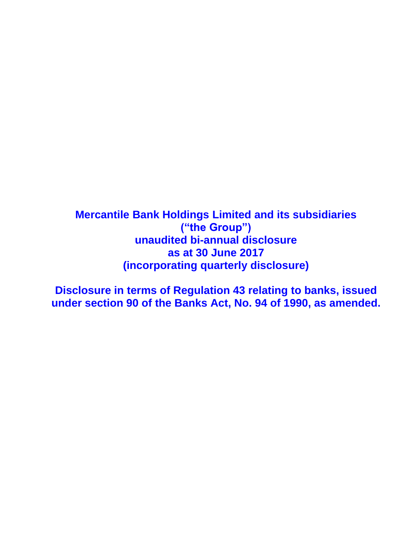**Mercantile Bank Holdings Limited and its subsidiaries ("the Group") unaudited bi-annual disclosure as at 30 June 2017 (incorporating quarterly disclosure)**

**Disclosure in terms of Regulation 43 relating to banks, issued under section 90 of the Banks Act, No. 94 of 1990, as amended.**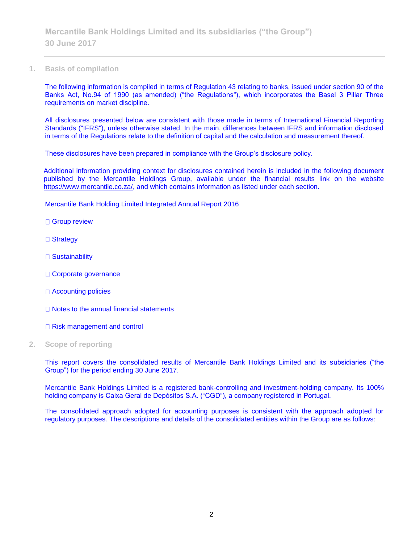**1. Basis of compilation**

The following information is compiled in terms of Regulation 43 relating to banks, issued under section 90 of the Banks Act, No.94 of 1990 (as amended) ("the Regulations"), which incorporates the Basel 3 Pillar Three requirements on market discipline.

All disclosures presented below are consistent with those made in terms of International Financial Reporting Standards ("IFRS"), unless otherwise stated. In the main, differences between IFRS and information disclosed in terms of the Regulations relate to the definition of capital and the calculation and measurement thereof.

These disclosures have been prepared in compliance with the Group's disclosure policy.

Additional information providing context for disclosures contained herein is included in the following document published by the Mercantile Holdings Group, available under the financial results link on the website [https://www.mercantile.co.za/,](https://www.mercantile.co.za/) and which contains information as listed under each section.

Mercantile Bank Holding Limited Integrated Annual Report 2016

□ Group review

- □ Strategy
- □ Sustainability
- □ Corporate governance
- □ Accounting policies
- □ Notes to the annual financial statements
- □ Risk management and control
- **2. Scope of reporting**

This report covers the consolidated results of Mercantile Bank Holdings Limited and its subsidiaries ("the Group") for the period ending 30 June 2017.

Mercantile Bank Holdings Limited is a registered bank-controlling and investment-holding company. Its 100% holding company is Caixa Geral de Depósitos S.A. ("CGD"), a company registered in Portugal.

The consolidated approach adopted for accounting purposes is consistent with the approach adopted for regulatory purposes. The descriptions and details of the consolidated entities within the Group are as follows: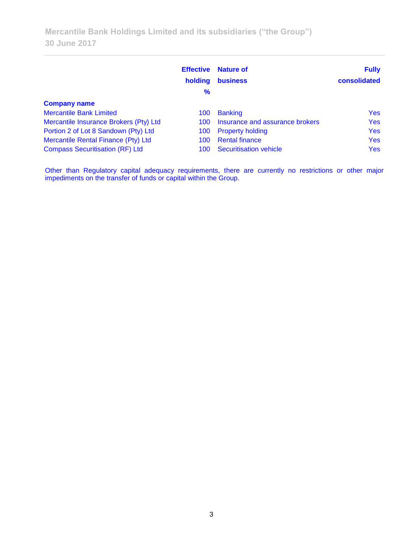**Mercantile Bank Holdings Limited and its subsidiaries ("the Group") 30 June 2017**

|                                        | <b>Effective</b><br>holding<br>% | <b>Nature of</b><br><b>business</b> | <b>Fully</b><br>consolidated |
|----------------------------------------|----------------------------------|-------------------------------------|------------------------------|
| <b>Company name</b>                    |                                  |                                     |                              |
| <b>Mercantile Bank Limited</b>         | 100                              | <b>Banking</b>                      | <b>Yes</b>                   |
| Mercantile Insurance Brokers (Pty) Ltd | 100                              | Insurance and assurance brokers     | <b>Yes</b>                   |
| Portion 2 of Lot 8 Sandown (Pty) Ltd   | 100                              | <b>Property holding</b>             | <b>Yes</b>                   |
| Mercantile Rental Finance (Pty) Ltd    | 100                              | <b>Rental finance</b>               | <b>Yes</b>                   |
| <b>Compass Securitisation (RF) Ltd</b> | 100                              | Securitisation vehicle              | <b>Yes</b>                   |

Other than Regulatory capital adequacy requirements, there are currently no restrictions or other major impediments on the transfer of funds or capital within the Group.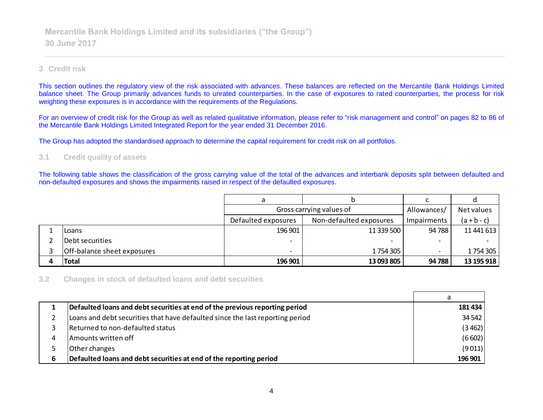## **3 Credit risk**

This section outlines the regulatory view of the risk associated with advances. These balances are reflected on the Mercantile Bank Holdings Limited balance sheet. The Group primarily advances funds to unrated counterparties. In the case of exposures to rated counterparties, the process for risk weighting these exposures is in accordance with the requirements of the Regulations.

For an overview of credit risk for the Group as well as related qualitative information, please refer to "risk management and control" on pages 82 to 86 of the Mercantile Bank Holdings Limited Integrated Report for the year ended 31 December 2016.

The Group has adopted the standardised approach to determine the capital requirement for credit risk on all portfolios.

#### **3.1 Credit quality of assets**

The following table shows the classification of the gross carrying value of the total of the advances and interbank deposits split between defaulted and non-defaulted exposures and shows the impairments raised in respect of the defaulted exposures.

|                             | Gross carrying values of                                             | Allowances/ | Net values |            |
|-----------------------------|----------------------------------------------------------------------|-------------|------------|------------|
|                             | Non-defaulted exposures<br>Defaulted exposures<br><b>Impairments</b> |             |            |            |
| Loans                       | 196 901                                                              | 11 339 500  | 94 788     | 11 441 613 |
| Debt securities             |                                                                      |             |            |            |
| Off-balance sheet exposures |                                                                      | 1 754 305   |            | 1754305    |
| <b>Total</b>                | 196 901                                                              | 13 093 805  | 94 788     | 13 195 918 |

### **3.2 Changes in stock of defaulted loans and debt securities**

|   | Defaulted loans and debt securities at end of the previous reporting period   | 181 434 |
|---|-------------------------------------------------------------------------------|---------|
|   | Loans and debt securities that have defaulted since the last reporting period | 34 542  |
|   | Returned to non-defaulted status                                              | (3462)  |
| 4 | Amounts written off                                                           | (6602)  |
|   | Other changes                                                                 | (9011)  |
| 6 | Defaulted loans and debt securities at end of the reporting period            | 196 901 |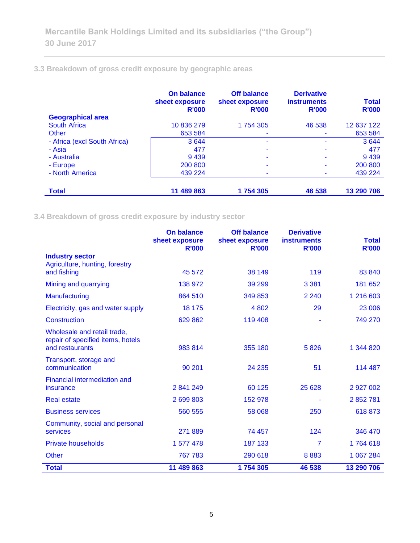## **3.3 Breakdown of gross credit exposure by geographic areas**

|                              | <b>On balance</b><br>sheet exposure<br><b>R'000</b> | <b>Off balance</b><br>sheet exposure<br><b>R'000</b> | <b>Derivative</b><br><b>instruments</b><br><b>R'000</b> | <b>Total</b><br><b>R'000</b> |
|------------------------------|-----------------------------------------------------|------------------------------------------------------|---------------------------------------------------------|------------------------------|
| <b>Geographical area</b>     |                                                     |                                                      |                                                         |                              |
| <b>South Africa</b>          | 10 836 279                                          | 1754305                                              | 46 538                                                  | 12 637 122                   |
| Other                        | 653 584                                             | ۰                                                    |                                                         | 653 584                      |
| - Africa (excl South Africa) | 3644                                                |                                                      |                                                         | 3644                         |
| - Asia                       | 477                                                 |                                                      |                                                         | 477                          |
| - Australia                  | 9439                                                |                                                      |                                                         | 9439                         |
| - Europe                     | 200 800                                             | ۰                                                    |                                                         | 200 800                      |
| - North America              | 439 224                                             | ۰                                                    | ۰                                                       | 439 224                      |
|                              |                                                     |                                                      |                                                         |                              |
| <b>Total</b>                 | 11 489 863                                          | 1754305                                              | 46 538                                                  | 13 290 706                   |

**3.4 Breakdown of gross credit exposure by industry sector**

|                                                                                     | <b>On balance</b><br>sheet exposure | <b>Off balance</b><br>sheet exposure | <b>Derivative</b><br><b>instruments</b> | <b>Total</b> |
|-------------------------------------------------------------------------------------|-------------------------------------|--------------------------------------|-----------------------------------------|--------------|
| <b>Industry sector</b>                                                              | <b>R'000</b>                        | <b>R'000</b>                         | <b>R'000</b>                            | <b>R'000</b> |
| Agriculture, hunting, forestry                                                      |                                     |                                      |                                         |              |
| and fishing                                                                         | 45 572                              | 38 149                               | 119                                     | 83 840       |
| Mining and quarrying                                                                | 138 972                             | 39 299                               | 3 3 8 1                                 | 181 652      |
| Manufacturing                                                                       | 864 510                             | 349 853                              | 2 2 4 0                                 | 1 216 603    |
| Electricity, gas and water supply                                                   | 18 175                              | 4 8 0 2                              | 29                                      | 23 006       |
| Construction                                                                        | 629 862                             | 119 408                              |                                         | 749 270      |
| Wholesale and retail trade,<br>repair of specified items, hotels<br>and restaurants | 983 814                             | 355 180                              | 5826                                    | 1 344 820    |
| Transport, storage and<br>communication                                             | 90 201                              | 24 235                               | 51                                      | 114 487      |
| Financial intermediation and<br>insurance                                           | 2841249                             | 60 1 25                              | 25 6 28                                 | 2 927 002    |
| <b>Real estate</b>                                                                  | 2 699 803                           | 152 978                              |                                         | 2 852 781    |
| <b>Business services</b>                                                            | 560 555                             | 58 068                               | 250                                     | 618 873      |
| Community, social and personal<br>services                                          | 271 889                             | 74 457                               | 124                                     | 346 470      |
| <b>Private households</b>                                                           | 1 577 478                           | 187 133                              | 7                                       | 1764618      |
| <b>Other</b>                                                                        | 767 783                             | 290 618                              | 8883                                    | 1 067 284    |
| <b>Total</b>                                                                        | 11 489 863                          | 1754305                              | 46 538                                  | 13 290 706   |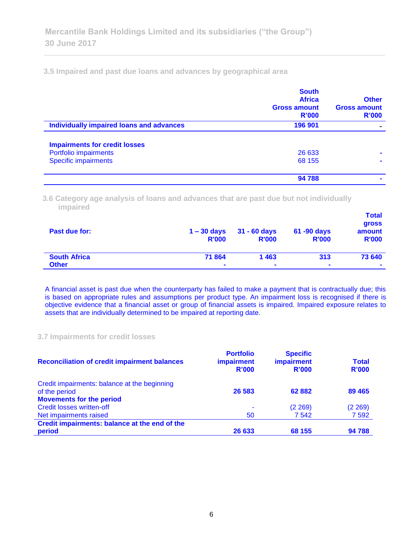**3.5 Impaired and past due loans and advances by geographical area**

|                                                 | <b>South</b><br><b>Africa</b><br><b>Gross amount</b><br>R'000 | <b>Other</b><br><b>Gross amount</b><br>R'000 |
|-------------------------------------------------|---------------------------------------------------------------|----------------------------------------------|
| <b>Individually impaired loans and advances</b> | 196 901                                                       |                                              |
| <b>Impairments for credit losses</b>            |                                                               |                                              |
| Portfolio impairments                           | 26 633                                                        |                                              |
| <b>Specific impairments</b>                     | 68 155                                                        |                                              |
|                                                 | 94 788                                                        |                                              |

**3.6 Category age analysis of loans and advances that are past due but not individually impaired** 

| Past due for:       | $1 - 30$ days<br><b>R'000</b> | $31 - 60$ days<br><b>R'000</b> | 61 -90 days<br><b>R'000</b> | <b>Total</b><br>gross<br>amount<br><b>R'000</b> |
|---------------------|-------------------------------|--------------------------------|-----------------------------|-------------------------------------------------|
| <b>South Africa</b> | 71864                         | 1463                           | 313                         | 73 640                                          |
| <b>Other</b>        | $\blacksquare$                | $\blacksquare$                 | $\blacksquare$              | $\blacksquare$                                  |

A financial asset is past due when the counterparty has failed to make a payment that is contractually due; this is based on appropriate rules and assumptions per product type. An impairment loss is recognised if there is objective evidence that a financial asset or group of financial assets is impaired. Impaired exposure relates to assets that are individually determined to be impaired at reporting date.

#### **3.7 Impairments for credit losses**

| <b>Reconciliation of credit impairment balances</b> | <b>Portfolio</b><br><i>impairment</i><br>R'000 | <b>Specific</b><br><b>impairment</b><br>R'000 | <b>Total</b><br><b>R'000</b> |
|-----------------------------------------------------|------------------------------------------------|-----------------------------------------------|------------------------------|
| Credit impairments: balance at the beginning        |                                                |                                               |                              |
| of the period                                       | 26 583                                         | 62 882                                        | 89 4 65                      |
| <b>Movements for the period</b>                     |                                                |                                               |                              |
| <b>Credit losses written-off</b>                    |                                                | (2 269)                                       | (2269)                       |
| Net impairments raised                              | 50                                             | 7542                                          | 7 5 9 2                      |
| Credit impairments: balance at the end of the       |                                                |                                               |                              |
| period                                              | 26 633                                         | 68 155                                        | 94 788                       |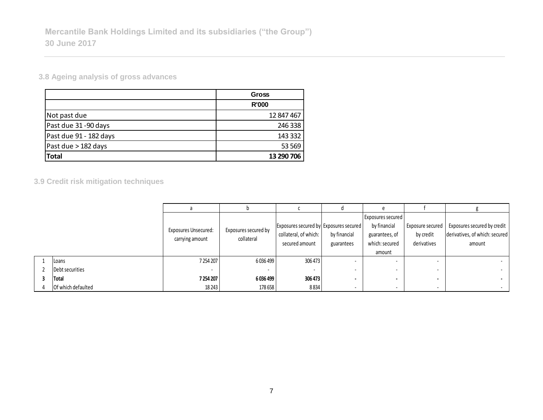**3.8 Ageing analysis of gross advances**

|                        | <b>Gross</b> |
|------------------------|--------------|
|                        | <b>R'000</b> |
| Not past due           | 12 847 467   |
| Past due 31-90 days    | 246 338      |
| Past due 91 - 182 days | 143 332      |
| Past due > 182 days    | 53 569       |
| <b>Total</b>           | 13 290 706   |

**3.9 Credit risk mitigation techniques**

|                    |                             |                      |                                        |              | <b>Exposures secured</b> |                          |                                |
|--------------------|-----------------------------|----------------------|----------------------------------------|--------------|--------------------------|--------------------------|--------------------------------|
|                    | <b>Exposures Unsecured:</b> | Exposures secured by | Exposures secured by Exposures secured |              | by financial             | Exposure secured         | Exposures secured by credit    |
|                    | carrying amount             | collateral           | collateral, of which:                  | by financial | guarantees, of           | by credit                | derivatives, of which: secured |
|                    |                             |                      | secured amount                         | guarantees   | which: secured           | derivatives              | amount                         |
|                    |                             |                      |                                        |              | amount                   |                          |                                |
| Loans              | 7 254 207                   | 6036499              | 306 473                                |              |                          | $\,$                     | $\sim$                         |
| Debt securities    |                             |                      |                                        |              |                          | $\,$                     | $\sim$                         |
| Total              | 7254207                     | 6036499              | 306 473                                |              |                          | $\overline{\phantom{a}}$ | $\sim$                         |
| Of which defaulted | 18 2 43                     | 178 658              | 8834                                   |              |                          | $\overline{\phantom{a}}$ | $\sim$                         |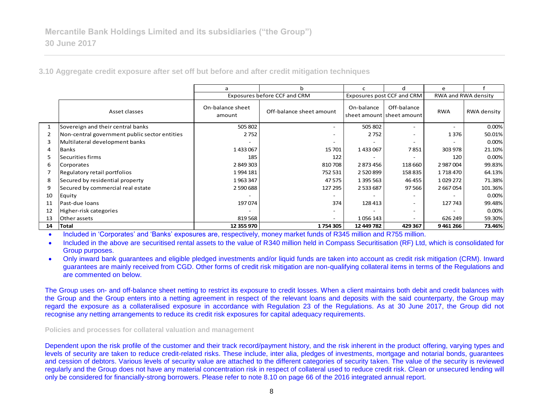**3.10 Aggregate credit exposure after set off but before and after credit mitigation techniques**

|    |                                               | a                          | b                            | c                          | d                                            | e          |                     |
|----|-----------------------------------------------|----------------------------|------------------------------|----------------------------|----------------------------------------------|------------|---------------------|
|    |                                               |                            | Exposures before CCF and CRM | Exposures post CCF and CRM |                                              |            | RWA and RWA density |
|    | Asset classes                                 | On-balance sheet<br>amount | Off-balance sheet amount     | On-balance                 | Off-balance<br>sheet amount I sheet amount I | <b>RWA</b> | RWA density         |
| 1  | Sovereign and their central banks             | 505 802                    |                              | 505 802                    | $\overline{\phantom{a}}$                     |            | 0.00%               |
| 2  | Non-central government public sector entities | 2752                       |                              | 2752                       | $\overline{\phantom{a}}$                     | 1376       | 50.01%              |
| 3  | Multilateral development banks                |                            |                              |                            | $\overline{\phantom{a}}$                     |            | 0.00%               |
| 4  | <b>Banks</b>                                  | 1433067                    | 15 701                       | 1433067                    | 7851                                         | 303 978    | 21.10%              |
| 5  | Securities firms                              | 185                        | 122                          |                            |                                              | 120        | 0.00%               |
| 6  | Corporates                                    | 2849303                    | 810708                       | 2873456                    | 118 660                                      | 2 987 004  | 99.83%              |
|    | Regulatory retail portfolios                  | 1994 181                   | 752 531                      | 2 5 2 0 8 9 9              | 158 835                                      | 1718470    | 64.13%              |
| 8  | Secured by residential property               | 1963347                    | 47 575                       | 1 395 563                  | 46 455                                       | 1029 272   | 71.38%              |
| 9  | Secured by commercial real estate             | 2 590 688                  | 127 295                      | 2 533 687                  | 97 566                                       | 2 667 054  | 101.36%             |
| 10 | Equity                                        |                            |                              |                            | $\overline{\phantom{a}}$                     |            | 0.00%               |
| 11 | Past-due loans                                | 197074                     | 374                          | 128 413                    | $\overline{\phantom{a}}$                     | 127 743    | 99.48%              |
| 12 | Higher-risk categories                        |                            | $\overline{\phantom{0}}$     |                            | $\overline{\phantom{a}}$                     |            | 0.00%               |
| 13 | Other assets                                  | 819 568                    | $\overline{\phantom{a}}$     | 1056143                    | $\overline{\phantom{a}}$                     | 626 249    | 59.30%              |
| 14 | Total                                         | 12 355 970                 | 1754305                      | 12 449 782                 | 429 367                                      | 9461266    | 73.46%              |

Included in 'Corporates' and 'Banks' exposures are, respectively, money market funds of R345 million and R755 million.

 Included in the above are securitised rental assets to the value of R340 million held in Compass Securitisation (RF) Ltd, which is consolidated for Group purposes.

 Only inward bank guarantees and eligible pledged investments and/or liquid funds are taken into account as credit risk mitigation (CRM). Inward guarantees are mainly received from CGD. Other forms of credit risk mitigation are non-qualifying collateral items in terms of the Regulations and are commented on below.

The Group uses on- and off-balance sheet netting to restrict its exposure to credit losses. When a client maintains both debit and credit balances with the Group and the Group enters into a netting agreement in respect of the relevant loans and deposits with the said counterparty, the Group may regard the exposure as a collateralised exposure in accordance with Regulation 23 of the Regulations. As at 30 June 2017, the Group did not recognise any netting arrangements to reduce its credit risk exposures for capital adequacy requirements.

**Policies and processes for collateral valuation and management**

Dependent upon the risk profile of the customer and their track record/payment history, and the risk inherent in the product offering, varying types and levels of security are taken to reduce credit-related risks. These include, inter alia, pledges of investments, mortgage and notarial bonds, guarantees and cession of debtors. Various levels of security value are attached to the different categories of security taken. The value of the security is reviewed regularly and the Group does not have any material concentration risk in respect of collateral used to reduce credit risk. Clean or unsecured lending will only be considered for financially-strong borrowers. Please refer to note 8.10 on page 66 of the 2016 integrated annual report.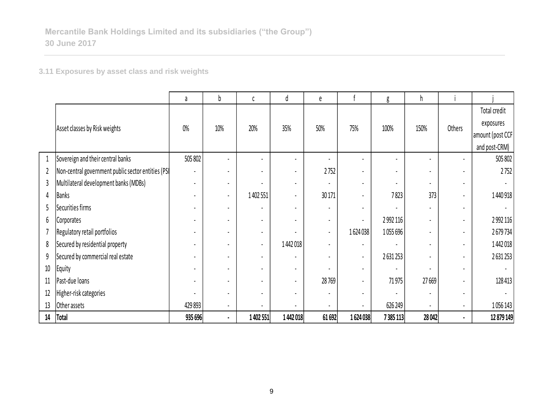**3.11 Exposures by asset class and risk weights**

|                |                                                    | a              | b                        | C              | d              | e                        |         | g              | h     |                |                  |
|----------------|----------------------------------------------------|----------------|--------------------------|----------------|----------------|--------------------------|---------|----------------|-------|----------------|------------------|
|                |                                                    |                |                          |                |                |                          |         |                |       |                | Total credit     |
|                | Asset classes by Risk weights                      | 0%             | 10%                      | 20%            | 35%            | 50%                      | 75%     | 100%           | 150%  | Others         | exposures        |
|                |                                                    |                |                          |                |                |                          |         |                |       |                | amount (post CCF |
|                |                                                    |                |                          |                |                |                          |         |                |       |                | and post-CRM)    |
| $\mathbf{1}$   | Sovereign and their central banks                  | 505 802        |                          |                | $\blacksquare$ |                          |         |                |       |                | 505 802          |
| $\overline{2}$ | Non-central government public sector entities (PSI | $\blacksquare$ |                          |                | $\blacksquare$ | 2752                     |         | $\blacksquare$ |       |                | 2752             |
| 3              | Multilateral development banks (MDBs)              | $\blacksquare$ | $\overline{\phantom{a}}$ |                | $\blacksquare$ |                          |         | $\blacksquare$ |       | $\blacksquare$ |                  |
| 4              | <b>Banks</b>                                       |                | $\overline{\phantom{a}}$ | 1 402 551      | $\blacksquare$ | 30 171                   |         | 7823           | 373   |                | 1440918          |
| 5              | Securities firms                                   |                |                          |                |                |                          |         |                |       |                |                  |
| 6              | Corporates                                         |                | $\overline{\phantom{0}}$ |                | $\blacksquare$ | $\overline{\phantom{a}}$ |         | 2 9 9 2 1 1 6  |       |                | 2 9 9 2 1 1 6    |
|                | Regulatory retail portfolios                       |                |                          |                |                | $\blacksquare$           | 1624038 | 1055696        |       |                | 2679734          |
| 8              | Secured by residential property                    |                |                          | $\blacksquare$ | 1442018        | $\overline{\phantom{a}}$ |         |                |       |                | 1442018          |
| 9              | Secured by commercial real estate                  | $\blacksquare$ |                          |                |                | $\blacksquare$           |         | 2631253        |       |                | 2631253          |
| $10\,$         | Equity                                             |                |                          |                | $\blacksquare$ |                          |         |                |       |                |                  |
| 11             | Past-due loans                                     | $\blacksquare$ | $\blacksquare$           |                | $\blacksquare$ | 28769                    |         | 71975          | 27669 |                | 128 413          |
| 12             | Higher-risk categories                             | $\blacksquare$ |                          |                | $\blacksquare$ | $\blacksquare$           |         |                |       |                |                  |
| 13             | Other assets                                       | 429 893        | $\blacksquare$           |                | $\blacksquare$ | $\blacksquare$           |         | 626 249        |       | $\blacksquare$ | 1056143          |
| $14\,$         | <b>Total</b>                                       | 935 696        |                          | 1 402 551      | 1442018        | 61 692                   | 1624038 | 7385113        | 28042 |                | 12 879 149       |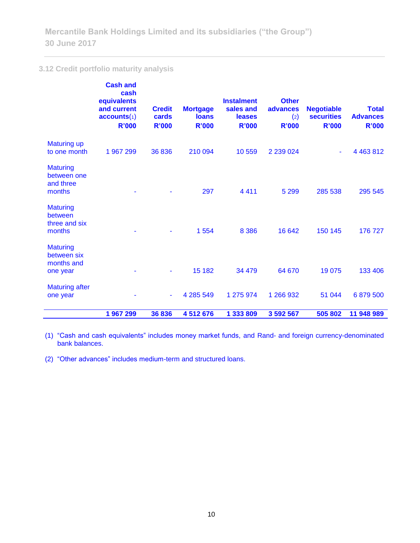## **3.12 Credit portfolio maturity analysis**

|                                                          | <b>Cash and</b><br>cash<br>equivalents<br>and current<br>accounts(1)<br><b>R'000</b> | <b>Credit</b><br>cards<br><b>R'000</b> | <b>Mortgage</b><br><b>loans</b><br><b>R'000</b> | <b>Instalment</b><br>sales and<br>leases<br><b>R'000</b> | <b>Other</b><br>advances<br>(2)<br><b>R'000</b> | <b>Negotiable</b><br><b>securities</b><br><b>R'000</b> | <b>Total</b><br><b>Advances</b><br><b>R'000</b> |
|----------------------------------------------------------|--------------------------------------------------------------------------------------|----------------------------------------|-------------------------------------------------|----------------------------------------------------------|-------------------------------------------------|--------------------------------------------------------|-------------------------------------------------|
| <b>Maturing up</b><br>to one month                       | 1 967 299                                                                            | 36836                                  | 210 094                                         | 10559                                                    | 2 2 3 0 2 4                                     | ٠                                                      | 4 4 6 3 8 1 2                                   |
| <b>Maturing</b><br>between one<br>and three<br>months    |                                                                                      |                                        | 297                                             | 4 4 1 1                                                  | 5 2 9 9                                         | 285 538                                                | 295 545                                         |
| <b>Maturing</b><br>between<br>three and six<br>months    |                                                                                      |                                        | 1 5 5 4                                         | 8 3 8 6                                                  | 16 642                                          | 150 145                                                | 176 727                                         |
| <b>Maturing</b><br>between six<br>months and<br>one year |                                                                                      |                                        | 15 182                                          | 34 479                                                   | 64 670                                          | 19 0 75                                                | 133 406                                         |
| <b>Maturing after</b><br>one year                        |                                                                                      | ÷                                      | 4 285 549                                       | 1 275 974                                                | 1 266 932                                       | 51 044                                                 | 6879500                                         |
|                                                          | 1967299                                                                              | 36836                                  | 4512676                                         | 1 333 809                                                | 3 592 567                                       | 505 802                                                | 11 948 989                                      |

(1) "Cash and cash equivalents" includes money market funds, and Rand- and foreign currency-denominated bank balances.

(2) "Other advances" includes medium-term and structured loans.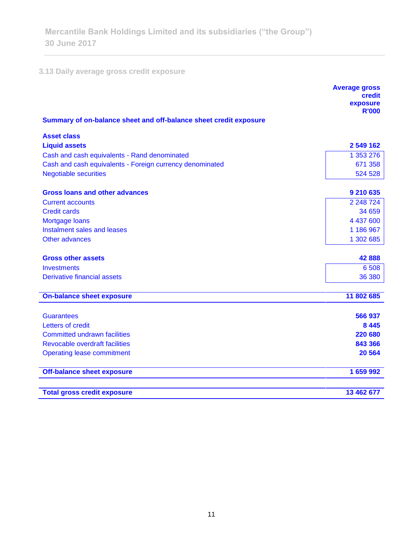## **3.13 Daily average gross credit exposure**

<u> Andreas Andreas (</u>

|                                                                   | <b>Average gross</b><br>credit |
|-------------------------------------------------------------------|--------------------------------|
|                                                                   | exposure<br><b>R'000</b>       |
| Summary of on-balance sheet and off-balance sheet credit exposure |                                |
| <b>Asset class</b>                                                |                                |
| <b>Liquid assets</b>                                              | 2 549 162                      |
| Cash and cash equivalents - Rand denominated                      | 1 353 276                      |
| Cash and cash equivalents - Foreign currency denominated          | 671 358                        |
| <b>Negotiable securities</b>                                      | 524 528                        |
| <b>Gross loans and other advances</b>                             | 9 210 635                      |
| <b>Current accounts</b>                                           | 2 248 724                      |
| <b>Credit cards</b>                                               | 34 659                         |
| Mortgage loans                                                    | 4 437 600                      |
| Instalment sales and leases                                       | 1 186 967                      |
| <b>Other advances</b>                                             | 1 302 685                      |
| <b>Gross other assets</b>                                         | 42888                          |
| <b>Investments</b>                                                | 6 5 0 8                        |
| Derivative financial assets                                       | 36 380                         |
| <b>On-balance sheet exposure</b>                                  | 11 802 685                     |
| <b>Guarantees</b>                                                 | 566 937                        |
| Letters of credit                                                 | 8 4 4 5                        |
| <b>Committed undrawn facilities</b>                               | 220 680                        |
| <b>Revocable overdraft facilities</b>                             | 843 366                        |
| <b>Operating lease commitment</b>                                 | 20 5 64                        |
|                                                                   |                                |
| <b>Off-balance sheet exposure</b>                                 | 1 659 992                      |
| <b>Total gross credit exposure</b>                                | 13 462 677                     |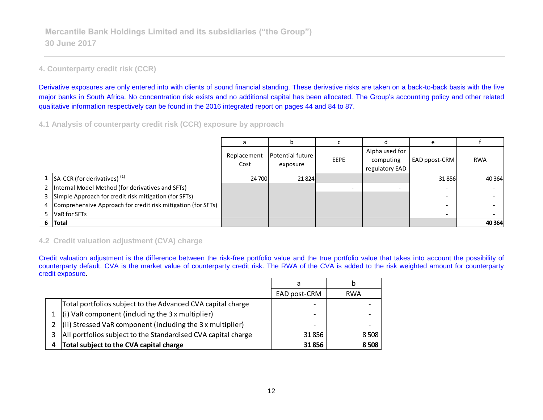## **4. Counterparty credit risk (CCR)**

Derivative exposures are only entered into with clients of sound financial standing. These derivative risks are taken on a back-to-back basis with the five major banks in South Africa. No concentration risk exists and no additional capital has been allocated. The Group's accounting policy and other related qualitative information respectively can be found in the 2016 integrated report on pages 44 and 84 to 87.

**4.1 Analysis of counterparty credit risk (CCR) exposure by approach**

|   |                                                              |                     |                              |             |                                               | $\epsilon$               |            |
|---|--------------------------------------------------------------|---------------------|------------------------------|-------------|-----------------------------------------------|--------------------------|------------|
|   |                                                              | Replacement<br>Cost | Potential future<br>exposure | <b>EEPE</b> | Alpha used for<br>computing<br>regulatory EAD | EAD ppost-CRM            | <b>RWA</b> |
|   | SA-CCR (for derivatives) <sup>(1)</sup>                      | 24 700              | 21824                        |             |                                               | 31 856                   | 40 3 64    |
|   | 2   Internal Model Method (for derivatives and SFTs)         |                     |                              |             |                                               |                          |            |
|   | 3 Simple Approach for credit risk mitigation (for SFTs)      |                     |                              |             |                                               | $\overline{\phantom{0}}$ |            |
| 4 | Comprehensive Approach for credit risk mitigation (for SFTs) |                     |                              |             |                                               |                          |            |
|   | 5 VaR for SFTs                                               |                     |                              |             |                                               | $\overline{\phantom{a}}$ |            |
|   | 6 Total                                                      |                     |                              |             |                                               |                          | 40 3 64    |

## **4.2 Credit valuation adjustment (CVA) charge**

Credit valuation adjustment is the difference between the risk-free portfolio value and the true portfolio value that takes into account the possibility of counterparty default. CVA is the market value of counterparty credit risk. The RWA of the CVA is added to the risk weighted amount for counterparty credit exposure.

|   |                                                                             | a                        |            |
|---|-----------------------------------------------------------------------------|--------------------------|------------|
|   |                                                                             | EAD post-CRM             | <b>RWA</b> |
|   | Total portfolios subject to the Advanced CVA capital charge                 | $\overline{\phantom{0}}$ |            |
|   | $\left  \right $ (i) VaR component (including the 3 x multiplier)           |                          |            |
| 2 | $\left  \right $ (ii) Stressed VaR component (including the 3 x multiplier) | $\overline{\phantom{0}}$ |            |
| 3 | All portfolios subject to the Standardised CVA capital charge               | 31856                    | 8508       |
| 4 | Total subject to the CVA capital charge                                     | 31856                    | 8508       |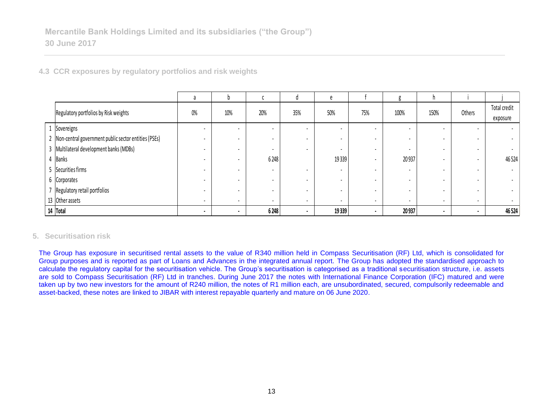|  |  |  |  |  |  |  | 4.3 CCR exposures by regulatory portfolios and risk weights |
|--|--|--|--|--|--|--|-------------------------------------------------------------|
|--|--|--|--|--|--|--|-------------------------------------------------------------|

|                                                        | a                        |                          |                          |                          |                          |                          |                          | n.                       |                          |                          |
|--------------------------------------------------------|--------------------------|--------------------------|--------------------------|--------------------------|--------------------------|--------------------------|--------------------------|--------------------------|--------------------------|--------------------------|
| Regulatory portfolios by Risk weights                  | $0\%$                    | 10%                      | 20%                      | 35%                      | 50%                      | 75%                      | 100%                     | 150%                     | Others                   | Total credit             |
|                                                        |                          |                          |                          |                          |                          |                          |                          |                          |                          | exposure                 |
| 1 Sovereigns                                           | $\overline{\phantom{a}}$ | $\overline{\phantom{0}}$ | ٠                        |                          | $\overline{\phantom{a}}$ | $\overline{\phantom{a}}$ |                          | ۰.                       | $\overline{\phantom{a}}$ | $\sim$                   |
| 2 Non-central government public sector entities (PSEs) | ۰                        | $\overline{\phantom{0}}$ | ٠                        |                          | $\overline{\phantom{a}}$ |                          | $\overline{\phantom{a}}$ |                          |                          | $\sim$                   |
| 3 Multilateral development banks (MDBs)                |                          | $\overline{\phantom{0}}$ | ٠                        | $\overline{\phantom{a}}$ | $\overline{\phantom{a}}$ | ۰                        | $\overline{\phantom{a}}$ |                          | $\overline{\phantom{a}}$ | $\sim$                   |
| 4 Banks                                                |                          |                          | 6 2 4 8                  |                          | 19 3 39                  | ۰                        | 20937                    |                          | $\overline{\phantom{a}}$ | 46524                    |
| 5 Securities firms                                     |                          |                          | $\overline{\phantom{a}}$ |                          | $\overline{\phantom{a}}$ |                          |                          |                          | $\blacksquare$           | $\sim$                   |
| 6 Corporates                                           |                          |                          | ٠                        |                          | $\overline{\phantom{a}}$ |                          |                          |                          |                          | $\sim$                   |
| 7 Regulatory retail portfolios                         | $\overline{\phantom{a}}$ | $\overline{\phantom{0}}$ | ٠                        | $\overline{\phantom{a}}$ | $\overline{\phantom{a}}$ |                          |                          |                          | $\blacksquare$           | $\sim$                   |
| 13 Other assets                                        | $\overline{\phantom{0}}$ | $\overline{\phantom{a}}$ | ٠                        | $\overline{\phantom{a}}$ | $\sim$                   | $\overline{\phantom{a}}$ | $\overline{\phantom{a}}$ | $\overline{\phantom{a}}$ | $\overline{\phantom{a}}$ | $\overline{\phantom{a}}$ |
| 14 Total                                               | $\overline{\phantom{a}}$ |                          | 6248                     |                          | 19 3 39                  | $\sim$                   | 20937                    | $\cdot$                  | $\blacksquare$           | 46524                    |

## **5. Securitisation risk**

The Group has exposure in securitised rental assets to the value of R340 million held in Compass Securitisation (RF) Ltd, which is consolidated for Group purposes and is reported as part of Loans and Advances in the integrated annual report. The Group has adopted the standardised approach to calculate the regulatory capital for the securitisation vehicle. The Group's securitisation is categorised as a traditional securitisation structure, i.e. assets are sold to Compass Securitisation (RF) Ltd in tranches. During June 2017 the notes with International Finance Corporation (IFC) matured and were taken up by two new investors for the amount of R240 million, the notes of R1 million each, are unsubordinated, secured, compulsorily redeemable and asset-backed, these notes are linked to JIBAR with interest repayable quarterly and mature on 06 June 2020.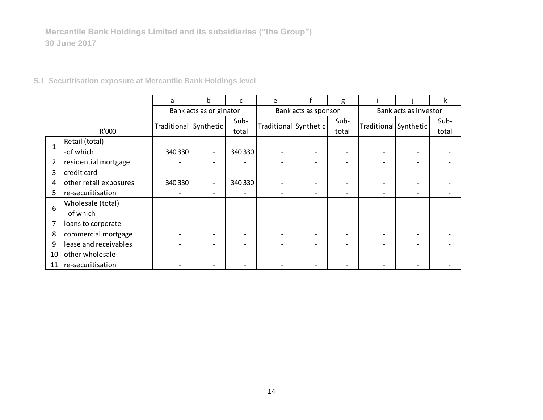| 5.1 Securitisation exposure at Mercantile Bank Holdings level |  |  |  |  |
|---------------------------------------------------------------|--|--|--|--|
|---------------------------------------------------------------|--|--|--|--|

|              |                        | a                       | b                            | c       | e                     |                      | g                        |                       |  | k     |  |
|--------------|------------------------|-------------------------|------------------------------|---------|-----------------------|----------------------|--------------------------|-----------------------|--|-------|--|
|              |                        | Bank acts as originator |                              |         |                       | Bank acts as sponsor |                          | Bank acts as investor |  |       |  |
|              |                        |                         |                              | Sub-    |                       |                      | Sub-                     |                       |  | Sub-  |  |
|              | R'000                  | Traditional Synthetic   |                              | total   | Traditional Synthetic |                      | total                    | Traditional Synthetic |  | total |  |
| $\mathbf{1}$ | Retail (total)         |                         |                              |         |                       |                      |                          |                       |  |       |  |
|              | -of which              | 340 330                 | $\qquad \qquad \blacksquare$ | 340 330 |                       |                      | $\overline{\phantom{a}}$ |                       |  |       |  |
| 2            | residential mortgage   |                         |                              |         |                       |                      |                          |                       |  |       |  |
| 3            | credit card            |                         | $\overline{\phantom{0}}$     |         |                       |                      | $\overline{\phantom{0}}$ |                       |  |       |  |
| 4            | other retail exposures | 340 330                 | $\overline{\phantom{0}}$     | 340 330 |                       |                      |                          |                       |  |       |  |
| 5            | re-securitisation      |                         | $\overline{\phantom{0}}$     |         |                       |                      | $\overline{\phantom{0}}$ |                       |  |       |  |
| 6            | Wholesale (total)      |                         |                              |         |                       |                      |                          |                       |  |       |  |
|              | - of which             |                         |                              |         |                       |                      | -                        |                       |  |       |  |
| 7            | loans to corporate     |                         |                              |         |                       |                      |                          |                       |  |       |  |
| 8            | commercial mortgage    |                         |                              |         |                       |                      | $\overline{\phantom{0}}$ |                       |  |       |  |
| 9            | lease and receivables  |                         |                              |         |                       |                      |                          |                       |  |       |  |
| 10           | other wholesale        |                         |                              |         |                       |                      |                          |                       |  |       |  |
| 11           | re-securitisation      |                         |                              |         |                       |                      |                          |                       |  |       |  |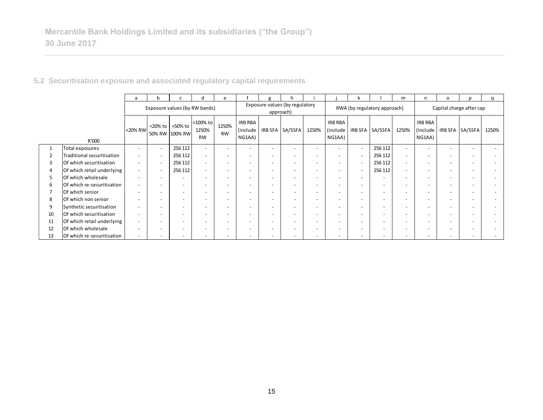|    |                            | a                        | h                             |                                                              | d                              | e                        |                               | g                                           |                          |                          |                               |                          |                              | m                        | n                                    | $\circ$                  | n                        | $\Omega$ |
|----|----------------------------|--------------------------|-------------------------------|--------------------------------------------------------------|--------------------------------|--------------------------|-------------------------------|---------------------------------------------|--------------------------|--------------------------|-------------------------------|--------------------------|------------------------------|--------------------------|--------------------------------------|--------------------------|--------------------------|----------|
|    |                            |                          | Exposure values (by RW bands) |                                                              |                                |                          |                               | Exposure values (by regulatory<br>approach) |                          |                          |                               |                          | RWA (by regulatory approach) | Capital charge after cap |                                      |                          |                          |          |
|    | R'000                      | <20% RW                  |                               | $\langle 20\% \text{ to } \rangle$ <50% to<br>50% RW 100% RW | >100% to<br>1250%<br><b>RW</b> | 1250%<br><b>RW</b>       | IRB RBA<br>(include<br>NG1AA) |                                             | IRB SFA SA/SSFA          | 1250%                    | IRB RBA<br>(include<br>NG1AA) |                          | IRB SFA SA/SSFA              | 1250%                    | <b>IRB RBA</b><br>(include<br>NG1AA) |                          | IRB SFA SA/SSFA          | 1250%    |
|    | Total exposures            | $\overline{\phantom{a}}$ |                               | 256 112                                                      |                                | $\overline{\phantom{0}}$ | $\overline{\phantom{a}}$      |                                             |                          |                          | $\overline{\phantom{a}}$      | $\sim$                   | 256 112                      | $\overline{a}$           |                                      | $\overline{\phantom{0}}$ | $\overline{\phantom{0}}$ |          |
|    | Traditional securitisation |                          |                               | 256 112                                                      |                                | $\overline{\phantom{a}}$ | $\overline{\phantom{a}}$      |                                             |                          |                          | $\overline{\phantom{a}}$      |                          | 256 112                      | $\overline{a}$           |                                      | $\overline{\phantom{0}}$ | $\overline{\phantom{a}}$ |          |
| 3  | Of which securitisation    | $\overline{\phantom{0}}$ |                               | 256 112                                                      |                                | $\overline{\phantom{0}}$ | $\overline{\phantom{0}}$      |                                             |                          |                          | $\overline{\phantom{a}}$      |                          | 256 112                      |                          |                                      | $\overline{\phantom{0}}$ | $\overline{\phantom{a}}$ |          |
|    | Of which retail underlying | $\overline{\phantom{a}}$ |                               | 256 112                                                      | $\overline{\phantom{0}}$       | $\overline{\phantom{0}}$ | $\overline{\phantom{a}}$      |                                             | $\overline{\phantom{a}}$ | $\overline{\phantom{0}}$ | $\overline{\phantom{a}}$      | $\sim$                   | 256 112                      | $\overline{a}$           |                                      | $\overline{\phantom{0}}$ | $\overline{\phantom{0}}$ |          |
| 5  | Of which wholesale         | $\overline{\phantom{a}}$ |                               |                                                              |                                | $\overline{\phantom{0}}$ | $\overline{\phantom{0}}$      |                                             |                          |                          | $\overline{\phantom{a}}$      | $\overline{\phantom{a}}$ |                              |                          |                                      | $\overline{\phantom{0}}$ | $\overline{\phantom{a}}$ |          |
| 6  | Of which re-securitisation | $\overline{\phantom{a}}$ |                               | $\overline{\phantom{a}}$                                     | $\overline{\phantom{a}}$       | $\overline{\phantom{a}}$ | $\overline{\phantom{a}}$      | $\overline{\phantom{0}}$                    | $\overline{\phantom{0}}$ | $\overline{\phantom{0}}$ | $\overline{\phantom{a}}$      | $\overline{\phantom{a}}$ | $\overline{\phantom{a}}$     | $\overline{\phantom{a}}$ |                                      | $\overline{\phantom{a}}$ | $\overline{\phantom{a}}$ |          |
|    | Of which senior            | $\overline{\phantom{a}}$ |                               | -                                                            | $\overline{\phantom{a}}$       | $\overline{\phantom{0}}$ | $\overline{\phantom{0}}$      |                                             | $\overline{\phantom{0}}$ | $\overline{\phantom{0}}$ | $\overline{\phantom{a}}$      | $\overline{\phantom{a}}$ | $\overline{\phantom{a}}$     | $\overline{\phantom{a}}$ |                                      | $\overline{\phantom{0}}$ | $\overline{\phantom{0}}$ |          |
| 8  | Of which non senior        | $\overline{\phantom{a}}$ |                               |                                                              |                                | $\overline{\phantom{0}}$ | $\overline{\phantom{a}}$      |                                             |                          |                          | $\overline{\phantom{a}}$      |                          |                              |                          |                                      | $\overline{\phantom{0}}$ | $\overline{\phantom{a}}$ |          |
| 9  | Synthetic securitisation   | $\overline{\phantom{a}}$ |                               | $\overline{\phantom{a}}$                                     | $\overline{\phantom{0}}$       | $\overline{\phantom{a}}$ | $\overline{\phantom{a}}$      | $\overline{\phantom{a}}$                    | $\overline{\phantom{a}}$ | $\overline{\phantom{0}}$ | $\overline{\phantom{a}}$      | $\overline{\phantom{a}}$ | $\overline{\phantom{0}}$     | $\overline{\phantom{a}}$ |                                      | $\overline{\phantom{a}}$ | $\overline{\phantom{a}}$ |          |
| 10 | Of which securitisation    | $\overline{\phantom{0}}$ |                               | $\overline{\phantom{a}}$                                     |                                | $\overline{\phantom{0}}$ | $\overline{\phantom{a}}$      |                                             |                          |                          | $\overline{\phantom{a}}$      |                          | $\overline{\phantom{a}}$     |                          |                                      | $\overline{\phantom{a}}$ | $\overline{\phantom{a}}$ |          |
| 11 | Of which retail underlying | $\overline{\phantom{a}}$ |                               |                                                              |                                | $\overline{\phantom{0}}$ | $\overline{\phantom{0}}$      |                                             |                          |                          | $\overline{\phantom{a}}$      |                          | $\overline{\phantom{a}}$     |                          |                                      | $\overline{\phantom{0}}$ | $\overline{\phantom{a}}$ |          |
| 12 | Of which wholesale         | $\overline{\phantom{0}}$ |                               | -                                                            | $\overline{\phantom{a}}$       | $\overline{\phantom{0}}$ | $\overline{\phantom{0}}$      |                                             | $\overline{\phantom{a}}$ |                          | $\overline{\phantom{a}}$      | $\overline{\phantom{a}}$ | $\overline{\phantom{0}}$     |                          |                                      | $\overline{\phantom{a}}$ | $\overline{\phantom{0}}$ |          |
| 13 | Of which re-securitisation |                          |                               |                                                              |                                |                          |                               |                                             |                          |                          | $\overline{\phantom{a}}$      |                          |                              |                          |                                      | $\overline{\phantom{0}}$ |                          |          |

**5.2 Securitisation exposure and associated regulatory capital requirements**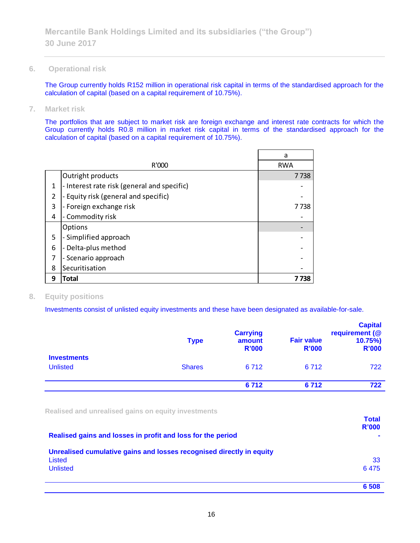**6. Operational risk**

The Group currently holds R152 million in operational risk capital in terms of the standardised approach for the calculation of capital (based on a capital requirement of 10.75%).

**7. Market risk**

The portfolios that are subject to market risk are foreign exchange and interest rate contracts for which the Group currently holds R0.8 million in market risk capital in terms of the standardised approach for the calculation of capital (based on a capital requirement of 10.75%).

|   |                                             | a          |
|---|---------------------------------------------|------------|
|   | R'000                                       | <b>RWA</b> |
|   | Outright products                           | 7738       |
| 1 | - Interest rate risk (general and specific) |            |
| 2 | - Equity risk (general and specific)        |            |
| 3 | - Foreign exchange risk                     | 7 738      |
| 4 | - Commodity risk                            |            |
|   | <b>Options</b>                              |            |
| 5 | - Simplified approach                       |            |
| 6 | - Delta-plus method                         |            |
| 7 | - Scenario approach                         |            |
| 8 | Securitisation                              |            |
| 9 | Total                                       | 7 738      |

## **8. Equity positions**

Investments consist of unlisted equity investments and these have been designated as available-for-sale.

|                                       | <b>Type</b>   | <b>Carrying</b><br>amount<br><b>R'000</b> | <b>Fair value</b><br><b>R'000</b> | <b>Capital</b><br>requirement (@<br>10.75%<br><b>R'000</b> |
|---------------------------------------|---------------|-------------------------------------------|-----------------------------------|------------------------------------------------------------|
| <b>Investments</b><br><b>Unlisted</b> | <b>Shares</b> | 6712                                      | 6 7 1 2                           | 722                                                        |
|                                       |               | 6712                                      | 6712                              | 722                                                        |

**Realised and unrealised gains on equity investments**

|                                                                      | <b>Total</b><br><b>R'000</b> |
|----------------------------------------------------------------------|------------------------------|
| Realised gains and losses in profit and loss for the period          |                              |
| Unrealised cumulative gains and losses recognised directly in equity |                              |
| Listed                                                               | 33                           |
| <b>Unlisted</b>                                                      | 6475                         |
|                                                                      | 6 5 0 8                      |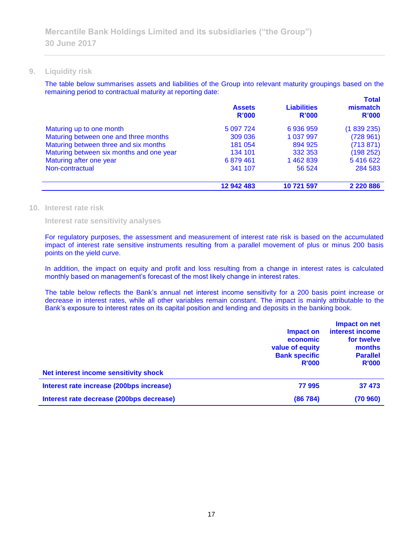#### **9. Liquidity risk**

The table below summarises assets and liabilities of the Group into relevant maturity groupings based on the remaining period to contractual maturity at reporting date: **Total**

|                                          | <b>Assets</b><br>R'000 | <b>Liabilities</b><br>R'000 | <u>i otal</u><br>mismatch<br>R'000 |
|------------------------------------------|------------------------|-----------------------------|------------------------------------|
| Maturing up to one month                 | 5 0 97 7 24            | 6936959                     | (1839235)                          |
| Maturing between one and three months    | 309 036                | 1 037 997                   | (728961)                           |
| Maturing between three and six months    | 181 054                | 894 925                     | (713 871)                          |
| Maturing between six months and one year | 134 101                | 332 353                     | (198 252)                          |
| Maturing after one year                  | 6879461                | 1462839                     | 5416622                            |
| Non-contractual                          | 341 107                | 56 524                      | 284 583                            |
|                                          | 12 942 483             | 10 721 597                  | 2 2 2 0 8 8 6                      |

#### **10. Interest rate risk**

**Interest rate sensitivity analyses**

For regulatory purposes, the assessment and measurement of interest rate risk is based on the accumulated impact of interest rate sensitive instruments resulting from a parallel movement of plus or minus 200 basis points on the yield curve.

In addition, the impact on equity and profit and loss resulting from a change in interest rates is calculated monthly based on management's forecast of the most likely change in interest rates.

The table below reflects the Bank's annual net interest income sensitivity for a 200 basis point increase or decrease in interest rates, while all other variables remain constant. The impact is mainly attributable to the Bank's exposure to interest rates on its capital position and lending and deposits in the banking book.

| Net interest income sensitivity shock    | Impact on<br>economic<br>value of equity<br><b>Bank specific</b><br><b>R'000</b> | Impact on net<br>interest income<br>for twelve<br>months<br><b>Parallel</b><br><b>R'000</b> |
|------------------------------------------|----------------------------------------------------------------------------------|---------------------------------------------------------------------------------------------|
| Interest rate increase (200bps increase) | 77995                                                                            | 37 473                                                                                      |
| Interest rate decrease (200bps decrease) | (86784)                                                                          | (70960)                                                                                     |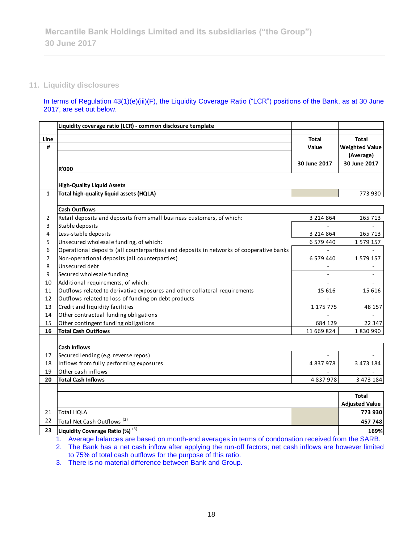## **11. Liquidity disclosures**

In terms of Regulation 43(1)(e)(iii)(F), the Liquidity Coverage Ratio ("LCR") positions of the Bank, as at 30 June 2017, are set out below.

|              | Liquidity coverage ratio (LCR) - common disclosure template                                         |               |                       |
|--------------|-----------------------------------------------------------------------------------------------------|---------------|-----------------------|
| Line         |                                                                                                     | <b>Total</b>  | <b>Total</b>          |
| #            |                                                                                                     | Value         | <b>Weighted Value</b> |
|              |                                                                                                     |               | (Average)             |
|              |                                                                                                     | 30 June 2017  | 30 June 2017          |
|              | <b>R'000</b>                                                                                        |               |                       |
|              | <b>High-Quality Liquid Assets</b>                                                                   |               |                       |
| $\mathbf{1}$ | Total high-quality liquid assets (HQLA)                                                             |               | 773 930               |
|              |                                                                                                     |               |                       |
|              | <b>Cash Outflows</b>                                                                                |               |                       |
| 2            | Retail deposits and deposits from small business customers, of which:                               | 3 2 1 4 8 6 4 | 165 713               |
| 3            | Stable deposits                                                                                     |               |                       |
| 4            | Less-stable deposits                                                                                | 3 2 1 4 8 6 4 | 165 713               |
| 5            | Unsecured wholesale funding, of which:                                                              | 6 579 440     | 1579157               |
| 6            | Operational deposits (all counterparties) and deposits in networks of cooperative banks             |               |                       |
| 7            | Non-operational deposits (all counterparties)                                                       | 6579440       | 1579157               |
| 8            | Unsecured debt                                                                                      |               |                       |
| 9            | Secured wholesale funding                                                                           |               |                       |
| 10           | Additional requirements, of which:                                                                  |               |                       |
| 11           | Outflows related to derivative exposures and other collateral requirements                          | 15 6 16       | 15 616                |
| 12           | Outflows related to loss of funding on debt products                                                |               |                       |
| 13           | Credit and liquidity facilities                                                                     | 1 175 775     | 48 157                |
| 14           | Other contractual funding obligations                                                               |               |                       |
| 15           | Other contingent funding obligations                                                                | 684 129       | 22 347                |
| 16           | <b>Total Cash Outflows</b>                                                                          | 11 669 824    | 1830990               |
|              | <b>Cash Inflows</b>                                                                                 |               |                       |
| 17           | Secured lending (e.g. reverse repos)                                                                |               |                       |
| 18           | Inflows from fully performing exposures                                                             | 4837978       | 3 473 184             |
| 19           | Other cash inflows                                                                                  |               |                       |
| 20           | <b>Total Cash Inflows</b>                                                                           | 4837978       | 3 473 184             |
|              |                                                                                                     |               |                       |
|              |                                                                                                     |               | <b>Total</b>          |
|              |                                                                                                     |               | <b>Adjusted Value</b> |
| 21           | Total HQLA                                                                                          |               | 773 930               |
| 22           | Total Net Cash Outflows <sup>(2)</sup>                                                              |               | 457748                |
| 23           | Liquidity Coverage Ratio (%) (3)                                                                    |               | 169%                  |
|              | 1. Average balances are based on month-end averages in terms of condonation received from the SARB. |               |                       |

2. The Bank has a net cash inflow after applying the run-off factors; net cash inflows are however limited to 75% of total cash outflows for the purpose of this ratio.

3. There is no material difference between Bank and Group.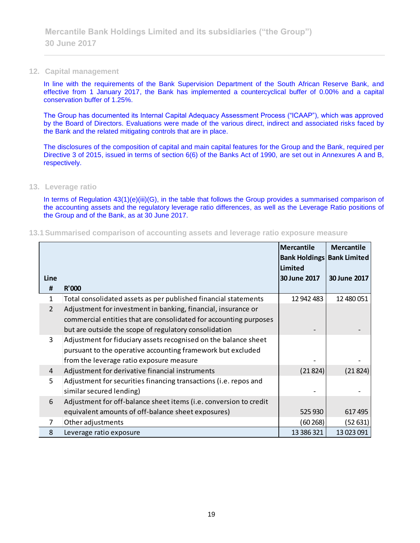#### **12. Capital management**

In line with the requirements of the Bank Supervision Department of the South African Reserve Bank, and effective from 1 January 2017, the Bank has implemented a countercyclical buffer of 0.00% and a capital conservation buffer of 1.25%.

The Group has documented its Internal Capital Adequacy Assessment Process ("ICAAP"), which was approved by the Board of Directors. Evaluations were made of the various direct, indirect and associated risks faced by the Bank and the related mitigating controls that are in place.

The disclosures of the composition of capital and main capital features for the Group and the Bank, required per Directive 3 of 2015, issued in terms of section 6(6) of the Banks Act of 1990, are set out in Annexures A and B, respectively.

#### **13. Leverage ratio**

In terms of Regulation 43(1)(e)(iii)(G), in the table that follows the Group provides a summarised comparison of the accounting assets and the regulatory leverage ratio differences, as well as the Leverage Ratio positions of the Group and of the Bank, as at 30 June 2017.

**13.1Summarised comparison of accounting assets and leverage ratio exposure measure**

|                |                                                                   | <b>Mercantile</b><br><b>Bank Holdings Bank Limited</b><br>Limited | <b>Mercantile</b> |
|----------------|-------------------------------------------------------------------|-------------------------------------------------------------------|-------------------|
| Line           |                                                                   | 30 June 2017                                                      | 30 June 2017      |
| #              | <b>R'000</b>                                                      |                                                                   |                   |
| 1              | Total consolidated assets as per published financial statements   | 12 942 483                                                        | 12 480 051        |
| $\overline{2}$ | Adjustment for investment in banking, financial, insurance or     |                                                                   |                   |
|                | commercial entities that are consolidated for accounting purposes |                                                                   |                   |
|                | but are outside the scope of regulatory consolidation             |                                                                   |                   |
| 3              | Adjustment for fiduciary assets recognised on the balance sheet   |                                                                   |                   |
|                | pursuant to the operative accounting framework but excluded       |                                                                   |                   |
|                | from the leverage ratio exposure measure                          |                                                                   |                   |
| 4              | Adjustment for derivative financial instruments                   | (21824)                                                           | (21824)           |
| 5              | Adjustment for securities financing transactions (i.e. repos and  |                                                                   |                   |
|                | similar secured lending)                                          |                                                                   |                   |
| 6              | Adjustment for off-balance sheet items (i.e. conversion to credit |                                                                   |                   |
|                | equivalent amounts of off-balance sheet exposures)                | 525 930                                                           | 617 495           |
| 7              | Other adjustments                                                 | (60 268)                                                          | (52631)           |
| 8              | Leverage ratio exposure                                           | 13 386 321                                                        | 13 023 091        |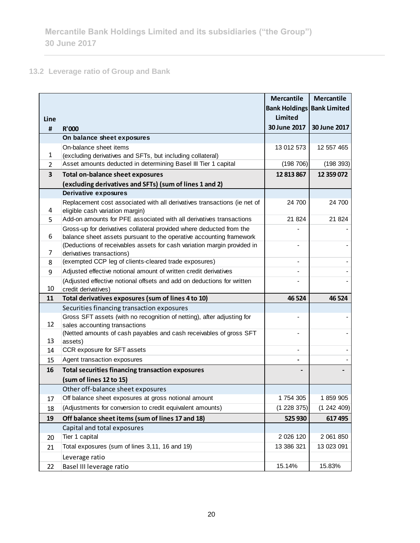## **13.2 Leverage ratio of Group and Bank**

|                |                                                                                                      | <b>Mercantile</b>    | <b>Mercantile</b>   |
|----------------|------------------------------------------------------------------------------------------------------|----------------------|---------------------|
|                |                                                                                                      | <b>Bank Holdings</b> | <b>Bank Limited</b> |
| Line           |                                                                                                      | <b>Limited</b>       |                     |
| #              | <b>R'000</b>                                                                                         | 30 June 2017         | 30 June 2017        |
|                | On balance sheet exposures                                                                           |                      |                     |
|                | On-balance sheet items                                                                               | 13 012 573           | 12 557 465          |
| 1              | (excluding derivatives and SFTs, but including collateral)                                           |                      |                     |
| $\overline{2}$ | Asset amounts deducted in determining Basel III Tier 1 capital                                       | (198706)             | (198 393)           |
| 3              | <b>Total on-balance sheet exposures</b>                                                              | 12 813 867           | 12 359 072          |
|                | (excluding derivatives and SFTs) (sum of lines 1 and 2)                                              |                      |                     |
|                | <b>Derivative exposures</b>                                                                          |                      |                     |
|                | Replacement cost associated with all derivatives transactions (ie net of                             | 24 700               | 24 700              |
| 4              | eligible cash variation margin)                                                                      |                      |                     |
| 5              | Add-on amounts for PFE associated with all derivatives transactions                                  | 21 824               | 21 824              |
|                | Gross-up for derivatives collateral provided where deducted from the                                 |                      |                     |
| 6              | balance sheet assets pursuant to the operative accounting framework                                  |                      |                     |
| 7              | (Deductions of receivables assets for cash variation margin provided in<br>derivatives transactions) |                      |                     |
| 8              | (exempted CCP leg of clients-cleared trade exposures)                                                |                      |                     |
|                | Adjusted effective notional amount of written credit derivatives                                     |                      |                     |
| 9              |                                                                                                      |                      |                     |
| 10             | (Adjusted effective notional offsets and add on deductions for written<br>credit derivatives)        |                      |                     |
| 11             | Total derivatives exposures (sum of lines 4 to 10)                                                   | 46 5 24              | 46 5 24             |
|                | Securities financing transaction exposures                                                           |                      |                     |
|                | Gross SFT assets (with no recognition of netting), after adjusting for                               |                      |                     |
| 12             | sales accounting transactions                                                                        |                      |                     |
|                | (Netted amounts of cash payables and cash receivables of gross SFT                                   |                      |                     |
| 13             | assets)                                                                                              |                      |                     |
| 14             | CCR exposure for SFT assets                                                                          |                      |                     |
| 15             | Agent transaction exposures                                                                          |                      |                     |
| 16             | <b>Total securities financing transaction exposures</b>                                              |                      |                     |
|                | (sum of lines 12 to 15)                                                                              |                      |                     |
|                | Other off-balance sheet exposures                                                                    |                      |                     |
| 17             | Off balance sheet exposures at gross notional amount                                                 | 1 754 305            | 1859905             |
| 18             | (Adjustments for conversion to credit equivalent amounts)                                            | (1 228 375)          | (1242409)           |
| 19             | Off balance sheet items (sum of lines 17 and 18)                                                     | 525 930              | 617495              |
|                | Capital and total exposures                                                                          |                      |                     |
| 20             | Tier 1 capital                                                                                       | 2 0 2 6 1 2 0        | 2 061 850           |
| 21             | Total exposures (sum of lines 3,11, 16 and 19)                                                       | 13 386 321           | 13 023 091          |
|                | Leverage ratio                                                                                       |                      |                     |
| 22             | Basel III leverage ratio                                                                             | 15.14%               | 15.83%              |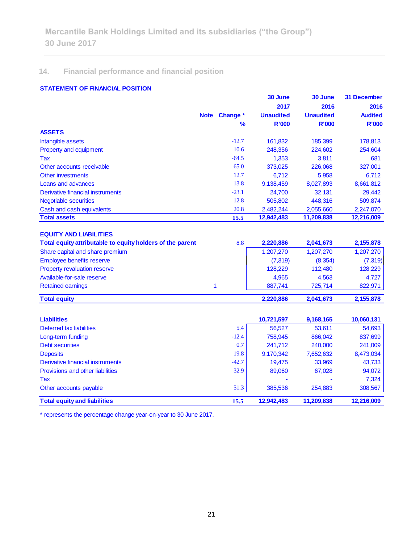## **14. Financial performance and financial position**

## **STATEMENT OF FINANCIAL POSITION**

|                                  |             |               | 30 June          | 30 June          | 31 December    |
|----------------------------------|-------------|---------------|------------------|------------------|----------------|
|                                  |             |               | 2017             | 2016             | 2016           |
|                                  | <b>Note</b> | Change *      | <b>Unaudited</b> | <b>Unaudited</b> | <b>Audited</b> |
|                                  |             | $\frac{9}{6}$ | <b>R'000</b>     | <b>R'000</b>     | <b>R'000</b>   |
| <b>ASSETS</b>                    |             |               |                  |                  |                |
| Intangible assets                |             | $-12.7$       | 161,832          | 185,399          | 178,813        |
| <b>Property and equipment</b>    |             | 10.6          | 248,356          | 224,602          | 254,604        |
| Tax                              |             | $-64.5$       | 1,353            | 3,811            | 681            |
| Other accounts receivable        |             | 65.0          | 373,025          | 226,068          | 327,001        |
| Other investments                |             | 12.7          | 6,712            | 5,958            | 6,712          |
| Loans and advances               |             | 13.8          | 9,138,459        | 8,027,893        | 8,661,812      |
| Derivative financial instruments |             | $-23.1$       | 24,700           | 32,131           | 29,442         |
| <b>Negotiable securities</b>     |             | 12.8          | 505,802          | 448,316          | 509,874        |
| Cash and cash equivalents        |             | 20.8          | 2,482,244        | 2,055,660        | 2,247,070      |
| <b>Total assets</b>              |             | 15.5          | 12,942,483       | 11,209,838       | 12,216,009     |

| Total equity attributable to equity holders of the parent | 8.8 | 2.220.886 | 2,041,673 | 2,155,878 |
|-----------------------------------------------------------|-----|-----------|-----------|-----------|
| Share capital and share premium                           |     | 1.207.270 | 1.207.270 | 1,207,270 |
| <b>Employee benefits reserve</b>                          |     | (7,319)   | (8,354)   | (7, 319)  |
| <b>Property revaluation reserve</b>                       |     | 128.229   | 112,480   | 128,229   |
| Available-for-sale reserve                                |     | 4.965     | 4.563     | 4.727     |
| <b>Retained earnings</b>                                  |     | 887.741   | 725.714   | 822,971   |
| <b>Total equity</b>                                       |     | 2,220,886 | 2,041,673 | 2,155,878 |

| <b>Liabilities</b>                  |         | 10,721,597 | 9,168,165  | 10,060,131 |
|-------------------------------------|---------|------------|------------|------------|
| Deferred tax liabilities            | 5.4     | 56,527     | 53,611     | 54,693     |
| Long-term funding                   | $-12.4$ | 758,945    | 866,042    | 837,699    |
| <b>Debt securities</b>              | 0.7     | 241,712    | 240,000    | 241,009    |
| <b>Deposits</b>                     | 19.8    | 9,170,342  | 7,652,632  | 8,473,034  |
| Derivative financial instruments    | $-42.7$ | 19.475     | 33,969     | 43,733     |
| Provisions and other liabilities    | 32.9    | 89,060     | 67,028     | 94,072     |
| Tax                                 |         |            |            | 7,324      |
| Other accounts payable              | 51.3    | 385,536    | 254,883    | 308,567    |
| <b>Total equity and liabilities</b> | 15.5    | 12,942,483 | 11,209,838 | 12.216.009 |

\* represents the percentage change year-on-year to 30 June 2017.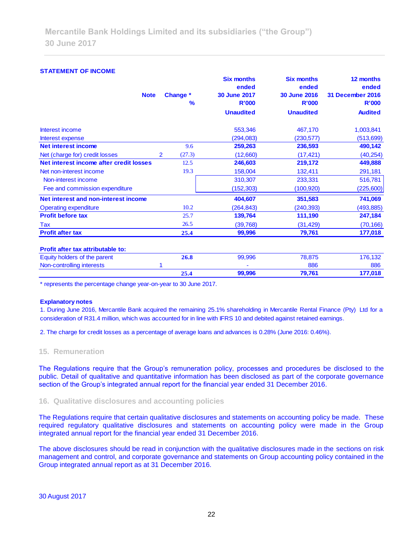## **STATEMENT OF INCOME Six months Six months 12 months ended ended ended Note Change \* 30 June 2017 30 June 2016 31 December 2016 % R'000 R'000 R'000 Unaudited Unaudited Audited** Interest income 553,346 467,170 1,003,841 Interest expense (294,083) (230,577) (513,699) **Net interest income** 9.6 **259,263 236,593 490,142** Net (charge for) credit losses 2 (27.3) (12,660) (17,421) (40,254) **Net interest income after credit losses** 12.5 **246,603 219,172 449,888** Net non-interest income 19.3 19.3 158,004 132,411 291,181 Non-interest income 616,781 310,307 233,331 516,781 Fee and commission expenditure (152,303) (100,920) (225,600) **Net interest and non-interest income 404,607 351,583 741,069** Operating expenditure 10.2 (264,843) (240,393) (493,885) **Profit before tax** 25.7 25.7 25.7 **139,764** 247,184 Tax 26.5 (39,768) (31,429) (70,166) **Profit after tax 25.4 99,996 79,761 177,018 Profit after tax attributable to:**  Equity holders of the parent **26.8** 99,996 78,875 176,132 Non-controlling interests 1 - 886 886  **25.4 99,996 79,761 177,018**

\* represents the percentage change year-on-year to 30 June 2017.

#### **Explanatory notes**

1. During June 2016, Mercantile Bank acquired the remaining 25.1% shareholding in Mercantile Rental Finance (Pty) Ltd for a consideration of R31.4 million, which was accounted for in line with IFRS 10 and debited against retained earnings.

2. The charge for credit losses as a percentage of average loans and advances is 0.28% (June 2016: 0.46%).

#### **15. Remuneration**

The Regulations require that the Group's remuneration policy, processes and procedures be disclosed to the public. Detail of qualitative and quantitative information has been disclosed as part of the corporate governance section of the Group's integrated annual report for the financial year ended 31 December 2016.

#### **16. Qualitative disclosures and accounting policies**

The Regulations require that certain qualitative disclosures and statements on accounting policy be made. These required regulatory qualitative disclosures and statements on accounting policy were made in the Group integrated annual report for the financial year ended 31 December 2016.

The above disclosures should be read in conjunction with the qualitative disclosures made in the sections on risk management and control, and corporate governance and statements on Group accounting policy contained in the Group integrated annual report as at 31 December 2016.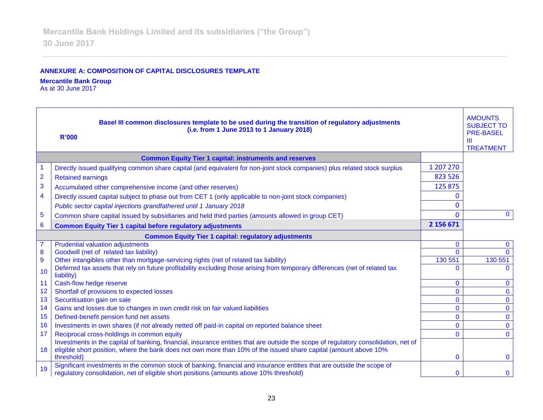## **ANNEXURE A: COMPOSITION OF CAPITAL DISCLOSURES TEMPLATE**

#### **Mercantile Bank Group**

As at 30 June 2017

|                         | Basel III common disclosures template to be used during the transition of regulatory adjustments<br>(i.e. from 1 June 2013 to 1 January 2018)<br><b>R'000</b>                                                                                           |              | <b>AMOUNTS</b><br><b>SUBJECT TO</b><br><b>PRE-BASEL</b><br>$\mathbf{m}$<br><b>TREATMENT</b> |
|-------------------------|---------------------------------------------------------------------------------------------------------------------------------------------------------------------------------------------------------------------------------------------------------|--------------|---------------------------------------------------------------------------------------------|
|                         | <b>Common Equity Tier 1 capital: instruments and reserves</b>                                                                                                                                                                                           |              |                                                                                             |
| 1                       | Directly issued qualifying common share capital (and equivalent for non-joint stock companies) plus related stock surplus                                                                                                                               | 1 207 270    |                                                                                             |
| $\overline{\mathbf{2}}$ | <b>Retained earnings</b>                                                                                                                                                                                                                                | 823 526      |                                                                                             |
| 3                       | Accumulated other comprehensive income (and other reserves)                                                                                                                                                                                             | 125 875      |                                                                                             |
| 4                       | Directly issued capital subject to phase out from CET 1 (only applicable to non-joint stock companies)                                                                                                                                                  | 0            |                                                                                             |
|                         | Public sector capital injections grandfathered until 1 January 2018                                                                                                                                                                                     | $\Omega$     |                                                                                             |
| $\overline{5}$          | Common share capital issued by subsidiaries and held third parties (amounts allowed in group CET)                                                                                                                                                       | $\Omega$     | $\mathbf{0}$                                                                                |
| $6\phantom{1}6$         | <b>Common Equity Tier 1 capital before regulatory adjustments</b>                                                                                                                                                                                       | 2 156 671    |                                                                                             |
|                         | <b>Common Equity Tier 1 capital: regulatory adjustments</b>                                                                                                                                                                                             |              |                                                                                             |
|                         | <b>Prudential valuation adjustments</b>                                                                                                                                                                                                                 | $\mathbf{0}$ | $\mathbf{0}$                                                                                |
| 8                       | Goodwill (net of related tax liability)                                                                                                                                                                                                                 | $\Omega$     | $\Omega$                                                                                    |
| $\overline{9}$          | Other intangibles other than mortgage-servicing rights (net of related tax liability)                                                                                                                                                                   | 130 551      | 130 551                                                                                     |
| 10                      | Deferred tax assets that rely on future profitability excluding those arising from temporary differences (net of related tax<br>liability)                                                                                                              | ∩            | <sup>n</sup>                                                                                |
| 11                      | Cash-flow hedge reserve                                                                                                                                                                                                                                 | $\mathbf{0}$ | $\mathbf{0}$                                                                                |
| 12                      | Shortfall of provisions to expected losses                                                                                                                                                                                                              | $\Omega$     | $\mathbf{0}$                                                                                |
| 13                      | Securitisation gain on sale                                                                                                                                                                                                                             | $\mathbf{0}$ | $\mathbf 0$                                                                                 |
| 14                      | Gains and losses due to changes in own credit risk on fair valued liabilities                                                                                                                                                                           | $\Omega$     | $\mathbf 0$                                                                                 |
| 15                      | Defined-benefit pension fund net assets                                                                                                                                                                                                                 | $\Omega$     | $\mathbf 0$                                                                                 |
| 16                      | Investments in own shares (if not already netted off paid-in capital on reported balance sheet                                                                                                                                                          | $\mathbf{0}$ | $\mathbf{0}$                                                                                |
| 17                      | Reciprocal cross-holdings in common equity                                                                                                                                                                                                              | $\Omega$     | $\Omega$                                                                                    |
| 18                      | Investments in the capital of banking, financial, insurance entities that are outside the scope of regulatory consolidation, net of<br>eligible short position, where the bank does not own more than 10% of the issued share capital (amount above 10% |              |                                                                                             |
|                         | threshold)                                                                                                                                                                                                                                              | $\mathbf{0}$ | $\mathbf{0}$                                                                                |
| 19                      | Significant investments in the common stock of banking, financial and insurance entities that are outside the scope of<br>regulatory consolidation, net of eligible short positions (amounts above 10% threshold)                                       | $\Omega$     | $\mathbf{0}$                                                                                |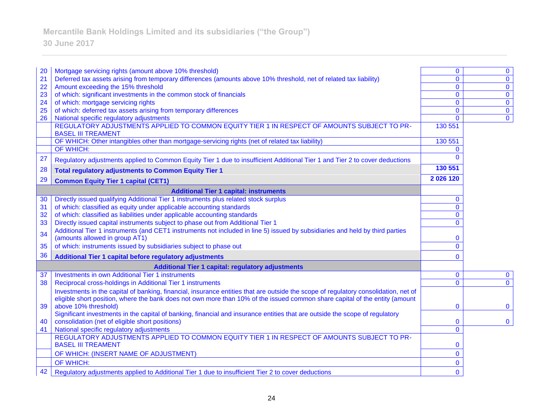# **Mercantile Bank Holdings Limited and its subsidiaries ("the Group")**

# **30 June 2017**

| 20 | Mortgage servicing rights (amount above 10% threshold)                                                                                                                                                                                                             | $\mathbf{0}$   | $\bf{0}$     |
|----|--------------------------------------------------------------------------------------------------------------------------------------------------------------------------------------------------------------------------------------------------------------------|----------------|--------------|
| 21 | Deferred tax assets arising from temporary differences (amounts above 10% threshold, net of related tax liability)                                                                                                                                                 | $\Omega$       | $\mathbf 0$  |
| 22 | Amount exceeding the 15% threshold                                                                                                                                                                                                                                 | $\mathbf{0}$   | $\bf{0}$     |
| 23 | of which: significant investments in the common stock of financials                                                                                                                                                                                                | $\mathbf{0}$   | $\mathbf 0$  |
| 24 | of which: mortgage servicing rights                                                                                                                                                                                                                                | $\mathbf{0}$   | $\pmb{0}$    |
| 25 | of which: deferred tax assets arising from temporary differences                                                                                                                                                                                                   | $\Omega$       | $\mathbf 0$  |
| 26 | National specific regulatory adjustments                                                                                                                                                                                                                           | $\mathbf{0}$   | $\mathbf 0$  |
|    | REGULATORY ADJUSTMENTS APPLIED TO COMMON EQUITY TIER 1 IN RESPECT OF AMOUNTS SUBJECT TO PR-<br><b>BASEL III TREAMENT</b>                                                                                                                                           | 130 551        |              |
|    | OF WHICH: Other intangibles other than mortgage-servicing rights (net of related tax liability)                                                                                                                                                                    | 130 551        |              |
|    | <b>OF WHICH:</b>                                                                                                                                                                                                                                                   | $\Omega$       |              |
| 27 | Regulatory adjustments applied to Common Equity Tier 1 due to insufficient Additional Tier 1 and Tier 2 to cover deductions                                                                                                                                        | <sup>0</sup>   |              |
| 28 | <b>Total regulatory adjustments to Common Equity Tier 1</b>                                                                                                                                                                                                        | 130 551        |              |
| 29 | <b>Common Equity Tier 1 capital (CET1)</b>                                                                                                                                                                                                                         | 2026120        |              |
|    | <b>Additional Tier 1 capital: instruments</b>                                                                                                                                                                                                                      |                |              |
| 30 | Directly issued qualifying Additional Tier 1 instruments plus related stock surplus                                                                                                                                                                                | $\mathbf{0}$   |              |
| 31 | of which: classified as equity under applicable accounting standards                                                                                                                                                                                               | $\Omega$       |              |
| 32 | of which: classified as liabilities under applicable accounting standards                                                                                                                                                                                          | $\mathbf{0}$   |              |
| 33 | Directly issued capital instruments subject to phase out from Additional Tier 1                                                                                                                                                                                    | $\overline{0}$ |              |
| 34 | Additional Tier 1 instruments (and CET1 instruments not included in line 5) issued by subsidiaries and held by third parties<br>(amounts allowed in group AT1)                                                                                                     | 0              |              |
| 35 | of which: instruments issued by subsidiaries subject to phase out                                                                                                                                                                                                  | $\mathbf{0}$   |              |
| 36 | Additional Tier 1 capital before regulatory adjustments                                                                                                                                                                                                            | $\Omega$       |              |
|    | <b>Additional Tier 1 capital: regulatory adjustments</b>                                                                                                                                                                                                           |                |              |
| 37 | <b>Investments in own Additional Tier 1 instruments</b>                                                                                                                                                                                                            | $\mathbf{0}$   | $\bf{0}$     |
| 38 | Reciprocal cross-holdings in Additional Tier 1 instruments                                                                                                                                                                                                         | $\Omega$       | $\mathbf{0}$ |
|    | Investments in the capital of banking, financial, insurance entities that are outside the scope of regulatory consolidation, net of<br>eligible short position, where the bank does not own more than 10% of the issued common share capital of the entity (amount |                |              |
| 39 | above 10% threshold)                                                                                                                                                                                                                                               | $\mathbf{0}$   | $\mathbf{0}$ |
| 40 | Significant investments in the capital of banking, financial and insurance entities that are outside the scope of regulatory<br>consolidation (net of eligible short positions)                                                                                    | $\Omega$       | $\mathbf 0$  |
| 41 | National specific regulatory adjustments                                                                                                                                                                                                                           | $\Omega$       |              |
|    | REGULATORY ADJUSTMENTS APPLIED TO COMMON EQUITY TIER 1 IN RESPECT OF AMOUNTS SUBJECT TO PR-                                                                                                                                                                        |                |              |
|    | <b>BASEL III TREAMENT</b>                                                                                                                                                                                                                                          | $\bf{0}$       |              |
|    | OF WHICH: (INSERT NAME OF ADJUSTMENT)                                                                                                                                                                                                                              | $\mathbf{0}$   |              |
|    | OF WHICH:                                                                                                                                                                                                                                                          | 0              |              |
| 42 | Regulatory adjustments applied to Additional Tier 1 due to insufficient Tier 2 to cover deductions                                                                                                                                                                 | $\mathbf{0}$   |              |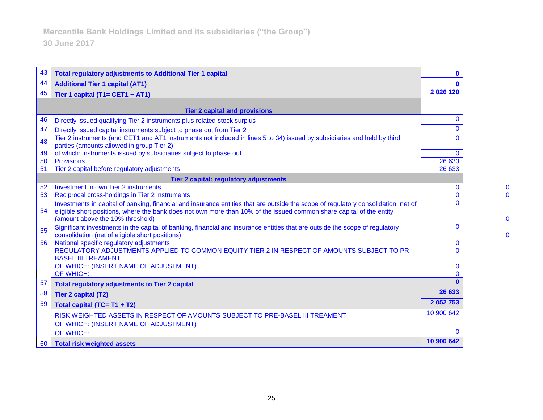| 43 | <b>Total regulatory adjustments to Additional Tier 1 capital</b>                                                                                                                                                                                           | n            |          |
|----|------------------------------------------------------------------------------------------------------------------------------------------------------------------------------------------------------------------------------------------------------------|--------------|----------|
| 44 | <b>Additional Tier 1 capital (AT1)</b>                                                                                                                                                                                                                     |              |          |
| 45 | Tier 1 capital (T1= CET1 + AT1)                                                                                                                                                                                                                            | 2026120      |          |
|    |                                                                                                                                                                                                                                                            |              |          |
|    | <b>Tier 2 capital and provisions</b>                                                                                                                                                                                                                       |              |          |
| 46 | Directly issued qualifying Tier 2 instruments plus related stock surplus                                                                                                                                                                                   | $\mathbf{0}$ |          |
| 47 | Directly issued capital instruments subject to phase out from Tier 2                                                                                                                                                                                       | $\Omega$     |          |
| 48 | Tier 2 instruments (and CET1 and AT1 instruments not included in lines 5 to 34) issued by subsidiaries and held by third<br>parties (amounts allowed in group Tier 2)                                                                                      | $\Omega$     |          |
| 49 | of which: instruments issued by subsidiaries subject to phase out                                                                                                                                                                                          | $\mathbf{0}$ |          |
| 50 | <b>Provisions</b>                                                                                                                                                                                                                                          | 26 633       |          |
| 51 | Tier 2 capital before regulatory adjustments                                                                                                                                                                                                               | 26 633       |          |
|    | Tier 2 capital: regulatory adjustments                                                                                                                                                                                                                     |              |          |
| 52 | Investment in own Tier 2 instruments                                                                                                                                                                                                                       | $\mathbf{0}$ | $\bf{0}$ |
| 53 | Reciprocal cross-holdings in Tier 2 instruments                                                                                                                                                                                                            | $\mathbf{0}$ | $\Omega$ |
| 54 | Investments in capital of banking, financial and insurance entities that are outside the scope of regulatory consolidation, net of<br>eligible short positions, where the bank does not own more than 10% of the issued common share capital of the entity | $\Omega$     |          |
|    | (amount above the 10% threshold)                                                                                                                                                                                                                           | $\Omega$     | $\Omega$ |
| 55 | Significant investments in the capital of banking, financial and insurance entities that are outside the scope of regulatory<br>consolidation (net of eligible short positions)                                                                            |              | $\bf{0}$ |
| 56 | National specific regulatory adjustments                                                                                                                                                                                                                   | $\mathbf{0}$ |          |
|    | REGULATORY ADJUSTMENTS APPLIED TO COMMON EQUITY TIER 2 IN RESPECT OF AMOUNTS SUBJECT TO PR-<br><b>BASEL III TREAMENT</b>                                                                                                                                   | $\Omega$     |          |
|    | OF WHICH: (INSERT NAME OF ADJUSTMENT)                                                                                                                                                                                                                      | $\mathbf{0}$ |          |
|    | OF WHICH:                                                                                                                                                                                                                                                  | $\Omega$     |          |
| 57 | <b>Total regulatory adjustments to Tier 2 capital</b>                                                                                                                                                                                                      | n            |          |
| 58 | <b>Tier 2 capital (T2)</b>                                                                                                                                                                                                                                 | 26 633       |          |
| 59 | Total capital (TC= T1 + T2)                                                                                                                                                                                                                                | 2 052 753    |          |
|    | RISK WEIGHTED ASSETS IN RESPECT OF AMOUNTS SUBJECT TO PRE-BASEL III TREAMENT                                                                                                                                                                               | 10 900 642   |          |
|    | OF WHICH: (INSERT NAME OF ADJUSTMENT)                                                                                                                                                                                                                      |              |          |
|    | OF WHICH:                                                                                                                                                                                                                                                  | $\Omega$     |          |
| 60 | <b>Total risk weighted assets</b>                                                                                                                                                                                                                          | 10 900 642   |          |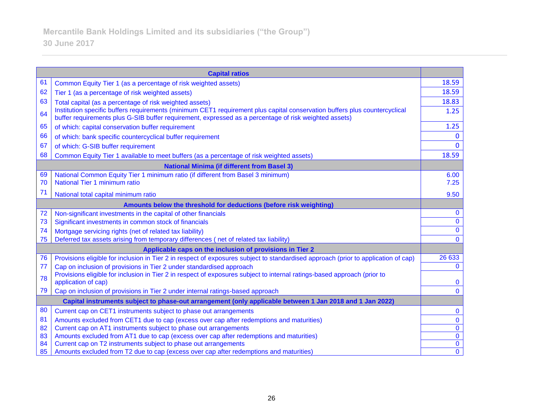|    | <b>Capital ratios</b>                                                                                                                                                                                                               |                |
|----|-------------------------------------------------------------------------------------------------------------------------------------------------------------------------------------------------------------------------------------|----------------|
| 61 | Common Equity Tier 1 (as a percentage of risk weighted assets)                                                                                                                                                                      | 18.59          |
| 62 | Tier 1 (as a percentage of risk weighted assets)                                                                                                                                                                                    | 18.59          |
| 63 | Total capital (as a percentage of risk weighted assets)                                                                                                                                                                             | 18.83          |
| 64 | Institution specific buffers requirements (minimum CET1 requirement plus capital conservation buffers plus countercyclical<br>buffer requirements plus G-SIB buffer requirement, expressed as a percentage of risk weighted assets) | 1.25           |
| 65 | of which: capital conservation buffer requirement                                                                                                                                                                                   | 1.25           |
| 66 | of which: bank specific countercyclical buffer requirement                                                                                                                                                                          | $\bf{0}$       |
| 67 | of which: G-SIB buffer requirement                                                                                                                                                                                                  | $\Omega$       |
| 68 | Common Equity Tier 1 available to meet buffers (as a percentage of risk weighted assets)                                                                                                                                            | 18.59          |
|    | <b>National Minima (if different from Basel 3)</b>                                                                                                                                                                                  |                |
| 69 | National Common Equity Tier 1 minimum ratio (if different from Basel 3 minimum)                                                                                                                                                     | 6.00           |
| 70 | National Tier 1 minimum ratio                                                                                                                                                                                                       | 7.25           |
| 71 | National total capital minimum ratio                                                                                                                                                                                                | 9.50           |
|    | Amounts below the threshold for deductions (before risk weighting)                                                                                                                                                                  |                |
| 72 | Non-significant investments in the capital of other financials                                                                                                                                                                      | $\bf{0}$       |
| 73 | Significant investments in common stock of financials                                                                                                                                                                               | $\bf{0}$       |
| 74 | Mortgage servicing rights (net of related tax liability)                                                                                                                                                                            | $\mathbf{0}$   |
| 75 | Deferred tax assets arising from temporary differences (net of related tax liability)                                                                                                                                               | $\mathbf{0}$   |
|    | Applicable caps on the inclusion of provisions in Tier 2                                                                                                                                                                            |                |
| 76 | Provisions eligible for inclusion in Tier 2 in respect of exposures subject to standardised approach (prior to application of cap)                                                                                                  | 26 633         |
| 77 | Cap on inclusion of provisions in Tier 2 under standardised approach                                                                                                                                                                | $\mathbf{0}$   |
| 78 | Provisions eligible for inclusion in Tier 2 in respect of exposures subject to internal ratings-based approach (prior to<br>application of cap)                                                                                     | $\bf{0}$       |
| 79 | Cap on inclusion of provisions in Tier 2 under internal ratings-based approach                                                                                                                                                      | $\mathbf{0}$   |
|    | Capital instruments subject to phase-out arrangement (only applicable between 1 Jan 2018 and 1 Jan 2022)                                                                                                                            |                |
| 80 | Current cap on CET1 instruments subject to phase out arrangements                                                                                                                                                                   | $\bf{0}$       |
| 81 | Amounts excluded from CET1 due to cap (excess over cap after redemptions and maturities)                                                                                                                                            | $\bf{0}$       |
| 82 | Current cap on AT1 instruments subject to phase out arrangements                                                                                                                                                                    | $\bf{0}$       |
| 83 | Amounts excluded from AT1 due to cap (excess over cap after redemptions and maturities)                                                                                                                                             | $\mathbf 0$    |
| 84 | Current cap on T2 instruments subject to phase out arrangements                                                                                                                                                                     | $\bf{0}$       |
| 85 | Amounts excluded from T2 due to cap (excess over cap after redemptions and maturities)                                                                                                                                              | $\overline{0}$ |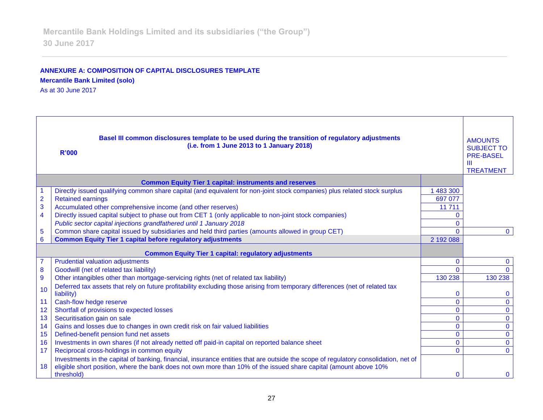## **ANNEXURE A: COMPOSITION OF CAPITAL DISCLOSURES TEMPLATE Mercantile Bank Limited (solo)**

As at 30 June 2017

| Basel III common disclosures template to be used during the transition of regulatory adjustments<br>(i.e. from 1 June 2013 to 1 January 2018)<br><b>R'000</b> |                                                                                                                                     |                          | <b>AMOUNTS</b><br><b>SUBJECT TO</b><br><b>PRE-BASEL</b><br>$\mathbf{m}$<br><b>TREATMENT</b> |
|---------------------------------------------------------------------------------------------------------------------------------------------------------------|-------------------------------------------------------------------------------------------------------------------------------------|--------------------------|---------------------------------------------------------------------------------------------|
|                                                                                                                                                               | <b>Common Equity Tier 1 capital: instruments and reserves</b>                                                                       |                          |                                                                                             |
|                                                                                                                                                               | Directly issued qualifying common share capital (and equivalent for non-joint stock companies) plus related stock surplus           | 483 300                  |                                                                                             |
| $\overline{\mathbf{2}}$                                                                                                                                       | <b>Retained earnings</b>                                                                                                            | 697 077                  |                                                                                             |
| 3                                                                                                                                                             | Accumulated other comprehensive income (and other reserves)                                                                         | 11 711                   |                                                                                             |
| 4                                                                                                                                                             | Directly issued capital subject to phase out from CET 1 (only applicable to non-joint stock companies)                              | $\Omega$                 |                                                                                             |
|                                                                                                                                                               | Public sector capital injections grandfathered until 1 January 2018                                                                 | $\Omega$                 |                                                                                             |
| 5                                                                                                                                                             | Common share capital issued by subsidiaries and held third parties (amounts allowed in group CET)                                   | $\Omega$                 | $\mathbf{0}$                                                                                |
| 6                                                                                                                                                             | <b>Common Equity Tier 1 capital before regulatory adjustments</b>                                                                   | 2 192 088                |                                                                                             |
|                                                                                                                                                               | <b>Common Equity Tier 1 capital: regulatory adjustments</b>                                                                         |                          |                                                                                             |
|                                                                                                                                                               | <b>Prudential valuation adjustments</b>                                                                                             | $\mathbf{0}$             | $\mathbf{0}$                                                                                |
| 8                                                                                                                                                             | Goodwill (net of related tax liability)                                                                                             | $\Omega$                 | $\Omega$                                                                                    |
| $\overline{9}$                                                                                                                                                | Other intangibles other than mortgage-servicing rights (net of related tax liability)                                               | 130 238                  | 130 238                                                                                     |
| 10                                                                                                                                                            | Deferred tax assets that rely on future profitability excluding those arising from temporary differences (net of related tax        |                          |                                                                                             |
|                                                                                                                                                               | liability)                                                                                                                          | $\mathbf 0$              | 0                                                                                           |
| 11                                                                                                                                                            | Cash-flow hedge reserve                                                                                                             | $\mathbf{0}$             | $\mathbf{0}$                                                                                |
| 12                                                                                                                                                            | Shortfall of provisions to expected losses                                                                                          | $\mathbf{0}$             | $\mathbf 0$                                                                                 |
| 13<br>14                                                                                                                                                      | Securitisation gain on sale                                                                                                         | $\mathbf{0}$             | $\mathbf{0}$                                                                                |
| 15                                                                                                                                                            | Gains and losses due to changes in own credit risk on fair valued liabilities<br>Defined-benefit pension fund net assets            | $\mathbf{0}$<br>$\Omega$ | $\mathbf{0}$<br>$\mathbf 0$                                                                 |
| 16                                                                                                                                                            | Investments in own shares (if not already netted off paid-in capital on reported balance sheet                                      | $\mathbf{0}$             | $\mathbf{0}$                                                                                |
| 17                                                                                                                                                            | Reciprocal cross-holdings in common equity                                                                                          | $\Omega$                 | $\Omega$                                                                                    |
|                                                                                                                                                               | Investments in the capital of banking, financial, insurance entities that are outside the scope of regulatory consolidation, net of |                          |                                                                                             |
| 18                                                                                                                                                            | eligible short position, where the bank does not own more than 10% of the issued share capital (amount above 10%                    |                          |                                                                                             |
|                                                                                                                                                               | threshold)                                                                                                                          | $\Omega$                 | $\Omega$                                                                                    |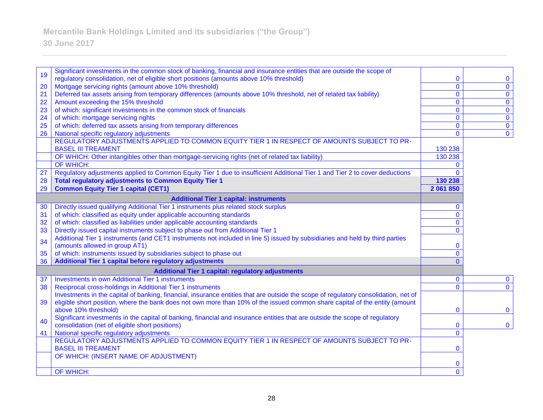# **30 June 2017**

| 19                                                       | Significant investments in the common stock of banking, financial and insurance entities that are outside the scope of                                                       |                   |                            |
|----------------------------------------------------------|------------------------------------------------------------------------------------------------------------------------------------------------------------------------------|-------------------|----------------------------|
|                                                          | regulatory consolidation, net of eligible short positions (amounts above 10% threshold)                                                                                      | 0<br>$\mathbf{0}$ | $\bf{0}$<br>$\overline{0}$ |
| 20<br>21                                                 | Mortgage servicing rights (amount above 10% threshold)<br>Deferred tax assets arising from temporary differences (amounts above 10% threshold, net of related tax liability) | $\mathbf{0}$      | $\overline{0}$             |
| 22                                                       | Amount exceeding the 15% threshold                                                                                                                                           | $\mathbf{0}$      | $\overline{0}$             |
| 23                                                       | of which: significant investments in the common stock of financials                                                                                                          | $\mathbf{0}$      | $\overline{0}$             |
| 24                                                       | of which: mortgage servicing rights                                                                                                                                          | $\mathbf{0}$      | $\overline{0}$             |
| 25                                                       | of which: deferred tax assets arising from temporary differences                                                                                                             | $\mathbf{0}$      | $\mathbf{0}$               |
| 26                                                       | National specific regulatory adjustments                                                                                                                                     | $\mathbf{0}$      | $\overline{0}$             |
|                                                          | REGULATORY ADJUSTMENTS APPLIED TO COMMON EQUITY TIER 1 IN RESPECT OF AMOUNTS SUBJECT TO PR-                                                                                  |                   |                            |
|                                                          | <b>BASEL III TREAMENT</b>                                                                                                                                                    | 130 238           |                            |
|                                                          | OF WHICH: Other intangibles other than mortgage-servicing rights (net of related tax liability)                                                                              | 130 238           |                            |
|                                                          | OF WHICH:                                                                                                                                                                    | $\Omega$          |                            |
| 27                                                       | Regulatory adjustments applied to Common Equity Tier 1 due to insufficient Additional Tier 1 and Tier 2 to cover deductions                                                  | $\Omega$          |                            |
| 28                                                       | <b>Total regulatory adjustments to Common Equity Tier 1</b>                                                                                                                  | 130 238           |                            |
| 29                                                       | <b>Common Equity Tier 1 capital (CET1)</b>                                                                                                                                   | 2 061 850         |                            |
|                                                          | <b>Additional Tier 1 capital: instruments</b>                                                                                                                                |                   |                            |
| 30                                                       | Directly issued qualifying Additional Tier 1 instruments plus related stock surplus                                                                                          | $\mathbf{0}$      |                            |
| 31                                                       | of which: classified as equity under applicable accounting standards                                                                                                         | $\overline{0}$    |                            |
| 32                                                       | of which: classified as liabilities under applicable accounting standards                                                                                                    | $\mathbf{0}$      |                            |
| 33                                                       | Directly issued capital instruments subject to phase out from Additional Tier 1                                                                                              | $\Omega$          |                            |
| 34                                                       | Additional Tier 1 instruments (and CET1 instruments not included in line 5) issued by subsidiaries and held by third parties                                                 |                   |                            |
|                                                          | (amounts allowed in group AT1)                                                                                                                                               | $\mathbf{0}$      |                            |
| 35                                                       | of which: instruments issued by subsidiaries subject to phase out                                                                                                            | $\mathbf{0}$      |                            |
| 36                                                       | Additional Tier 1 capital before regulatory adjustments                                                                                                                      | $\Omega$          |                            |
| <b>Additional Tier 1 capital: regulatory adjustments</b> |                                                                                                                                                                              |                   |                            |
| 37                                                       | <b>Investments in own Additional Tier 1 instruments</b>                                                                                                                      | $\mathbf{0}$      | $\mathbf{0}$               |
| 38                                                       | Reciprocal cross-holdings in Additional Tier 1 instruments                                                                                                                   | $\mathbf{0}$      | $\mathbf{0}$               |
|                                                          | Investments in the capital of banking, financial, insurance entities that are outside the scope of regulatory consolidation, net of                                          |                   |                            |
| 39                                                       | eligible short position, where the bank does not own more than 10% of the issued common share capital of the entity (amount                                                  |                   |                            |
|                                                          | above 10% threshold)                                                                                                                                                         | $\mathbf 0$       | $\mathbf{0}$               |
| 40                                                       | Significant investments in the capital of banking, financial and insurance entities that are outside the scope of regulatory                                                 |                   |                            |
|                                                          | consolidation (net of eligible short positions)                                                                                                                              | $\mathbf{0}$      | $\mathbf{0}$               |
| 41                                                       | National specific regulatory adjustments                                                                                                                                     | $\mathbf{0}$      |                            |
|                                                          | REGULATORY ADJUSTMENTS APPLIED TO COMMON EQUITY TIER 1 IN RESPECT OF AMOUNTS SUBJECT TO PR-                                                                                  |                   |                            |
|                                                          | <b>BASEL III TREAMENT</b>                                                                                                                                                    | $\mathbf 0$       |                            |
|                                                          | OF WHICH: (INSERT NAME OF ADJUSTMENT)                                                                                                                                        | $\bf{0}$          |                            |
|                                                          | OF WHICH:                                                                                                                                                                    | $\overline{0}$    |                            |
|                                                          |                                                                                                                                                                              |                   |                            |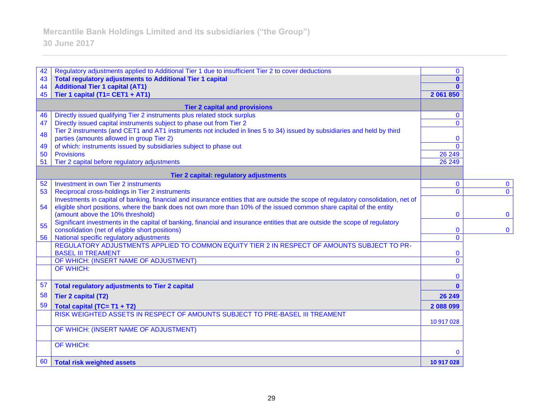# **30 June 2017**

| 42                                   | Regulatory adjustments applied to Additional Tier 1 due to insufficient Tier 2 to cover deductions                                                                              | $\mathbf{0}$                 |                |
|--------------------------------------|---------------------------------------------------------------------------------------------------------------------------------------------------------------------------------|------------------------------|----------------|
| 43<br>44                             | <b>Total regulatory adjustments to Additional Tier 1 capital</b><br><b>Additional Tier 1 capital (AT1)</b>                                                                      | $\mathbf{0}$<br>$\mathbf{a}$ |                |
| 45                                   | Tier 1 capital (T1= CET1 + AT1)                                                                                                                                                 | 2 061 850                    |                |
| <b>Tier 2 capital and provisions</b> |                                                                                                                                                                                 |                              |                |
| 46                                   | Directly issued qualifying Tier 2 instruments plus related stock surplus                                                                                                        | $\mathbf{0}$                 |                |
| 47                                   | Directly issued capital instruments subject to phase out from Tier 2                                                                                                            | $\Omega$                     |                |
| 48                                   | Tier 2 instruments (and CET1 and AT1 instruments not included in lines 5 to 34) issued by subsidiaries and held by third                                                        |                              |                |
| 49                                   | parties (amounts allowed in group Tier 2)<br>of which: instruments issued by subsidiaries subject to phase out                                                                  | $\mathbf{0}$<br>$\mathbf{0}$ |                |
| 50                                   | <b>Provisions</b>                                                                                                                                                               | 26 249                       |                |
| 51                                   | Tier 2 capital before regulatory adjustments                                                                                                                                    | 26 24 9                      |                |
|                                      | Tier 2 capital: regulatory adjustments                                                                                                                                          |                              |                |
| 52                                   | <b>Investment in own Tier 2 instruments</b>                                                                                                                                     | $\mathbf{0}$                 | $\bf{0}$       |
| 53                                   | Reciprocal cross-holdings in Tier 2 instruments                                                                                                                                 | $\mathbf{0}$                 | $\overline{0}$ |
|                                      | Investments in capital of banking, financial and insurance entities that are outside the scope of regulatory consolidation, net of                                              |                              |                |
| 54                                   | eligible short positions, where the bank does not own more than 10% of the issued common share capital of the entity                                                            |                              |                |
|                                      | (amount above the 10% threshold)                                                                                                                                                | $\mathbf 0$                  | $\mathbf{0}$   |
| 55                                   | Significant investments in the capital of banking, financial and insurance entities that are outside the scope of regulatory<br>consolidation (net of eligible short positions) | $\bf{0}$                     | $\mathbf 0$    |
| 56                                   | National specific regulatory adjustments                                                                                                                                        | $\mathbf{0}$                 |                |
|                                      | REGULATORY ADJUSTMENTS APPLIED TO COMMON EQUITY TIER 2 IN RESPECT OF AMOUNTS SUBJECT TO PR-<br><b>BASEL III TREAMENT</b>                                                        | $\mathbf 0$                  |                |
|                                      | OF WHICH: (INSERT NAME OF ADJUSTMENT)                                                                                                                                           | $\mathbf{0}$                 |                |
|                                      | OF WHICH:                                                                                                                                                                       | $\mathbf{0}$                 |                |
| 57                                   | <b>Total regulatory adjustments to Tier 2 capital</b>                                                                                                                           | $\mathbf{0}$                 |                |
| 58                                   | <b>Tier 2 capital (T2)</b>                                                                                                                                                      | 26 249                       |                |
| 59                                   | Total capital (TC= T1 + T2)                                                                                                                                                     | 2 088 099                    |                |
|                                      | RISK WEIGHTED ASSETS IN RESPECT OF AMOUNTS SUBJECT TO PRE-BASEL III TREAMENT                                                                                                    |                              |                |
|                                      |                                                                                                                                                                                 | 10 917 028                   |                |
|                                      | OF WHICH: (INSERT NAME OF ADJUSTMENT)                                                                                                                                           |                              |                |
|                                      | OF WHICH:                                                                                                                                                                       | 0                            |                |
| 60                                   | <b>Total risk weighted assets</b>                                                                                                                                               | 10 917 028                   |                |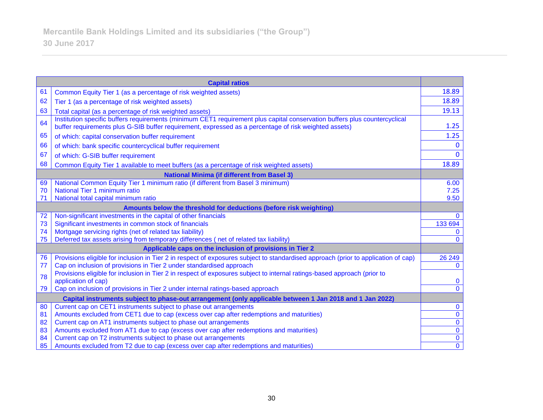| <b>Capital ratios</b>                                                                |                                                                                                                                                                                                                                     |                            |  |
|--------------------------------------------------------------------------------------|-------------------------------------------------------------------------------------------------------------------------------------------------------------------------------------------------------------------------------------|----------------------------|--|
| 61                                                                                   | Common Equity Tier 1 (as a percentage of risk weighted assets)                                                                                                                                                                      | 18.89                      |  |
| 62                                                                                   | Tier 1 (as a percentage of risk weighted assets)                                                                                                                                                                                    | 18.89                      |  |
| 63                                                                                   | Total capital (as a percentage of risk weighted assets)                                                                                                                                                                             | 19.13                      |  |
| 64                                                                                   | Institution specific buffers requirements (minimum CET1 requirement plus capital conservation buffers plus countercyclical<br>buffer requirements plus G-SIB buffer requirement, expressed as a percentage of risk weighted assets) | 1.25                       |  |
| 65                                                                                   | of which: capital conservation buffer requirement                                                                                                                                                                                   | 1.25                       |  |
| 66                                                                                   | of which: bank specific countercyclical buffer requirement                                                                                                                                                                          | $\mathbf{0}$               |  |
| 67                                                                                   | of which: G-SIB buffer requirement                                                                                                                                                                                                  | $\Omega$                   |  |
| 68                                                                                   | Common Equity Tier 1 available to meet buffers (as a percentage of risk weighted assets)                                                                                                                                            | 18.89                      |  |
|                                                                                      | <b>National Minima (if different from Basel 3)</b>                                                                                                                                                                                  |                            |  |
| 69                                                                                   | National Common Equity Tier 1 minimum ratio (if different from Basel 3 minimum)                                                                                                                                                     | 6.00                       |  |
| 70                                                                                   | National Tier 1 minimum ratio                                                                                                                                                                                                       | 7.25                       |  |
| 71                                                                                   | National total capital minimum ratio                                                                                                                                                                                                | 9.50                       |  |
| Amounts below the threshold for deductions (before risk weighting)                   |                                                                                                                                                                                                                                     |                            |  |
| 72                                                                                   | Non-significant investments in the capital of other financials                                                                                                                                                                      | $\Omega$                   |  |
| 73                                                                                   | Significant investments in common stock of financials                                                                                                                                                                               | 133 694                    |  |
| 74                                                                                   | Mortgage servicing rights (net of related tax liability)                                                                                                                                                                            | $\mathbf{0}$               |  |
| 75                                                                                   | Deferred tax assets arising from temporary differences (net of related tax liability)                                                                                                                                               | $\Omega$                   |  |
| Applicable caps on the inclusion of provisions in Tier 2                             |                                                                                                                                                                                                                                     |                            |  |
| 76                                                                                   | Provisions eligible for inclusion in Tier 2 in respect of exposures subject to standardised approach (prior to application of cap)                                                                                                  | 26 249                     |  |
| 77                                                                                   | Cap on inclusion of provisions in Tier 2 under standardised approach                                                                                                                                                                | $\mathbf{0}$               |  |
| 78                                                                                   | Provisions eligible for inclusion in Tier 2 in respect of exposures subject to internal ratings-based approach (prior to                                                                                                            |                            |  |
|                                                                                      | application of cap)                                                                                                                                                                                                                 | $\bf{0}$<br>$\overline{0}$ |  |
| 79<br>Cap on inclusion of provisions in Tier 2 under internal ratings-based approach |                                                                                                                                                                                                                                     |                            |  |
|                                                                                      | Capital instruments subject to phase-out arrangement (only applicable between 1 Jan 2018 and 1 Jan 2022)                                                                                                                            |                            |  |
| 80                                                                                   | Current cap on CET1 instruments subject to phase out arrangements                                                                                                                                                                   | $\mathbf 0$                |  |
| 81                                                                                   | Amounts excluded from CET1 due to cap (excess over cap after redemptions and maturities)                                                                                                                                            | $\overline{0}$             |  |
| 82                                                                                   | Current cap on AT1 instruments subject to phase out arrangements                                                                                                                                                                    | $\overline{0}$             |  |
| 83                                                                                   | Amounts excluded from AT1 due to cap (excess over cap after redemptions and maturities)                                                                                                                                             | $\mathbf{0}$               |  |
| 84                                                                                   | Current cap on T2 instruments subject to phase out arrangements                                                                                                                                                                     | $\mathbf 0$                |  |
| 85                                                                                   | Amounts excluded from T2 due to cap (excess over cap after redemptions and maturities)                                                                                                                                              | $\overline{0}$             |  |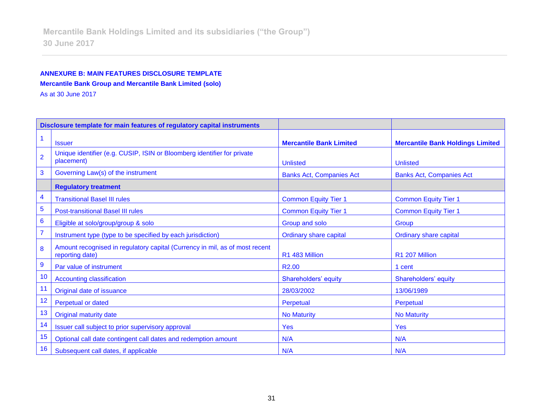## **ANNEXURE B: MAIN FEATURES DISCLOSURE TEMPLATE Mercantile Bank Group and Mercantile Bank Limited (solo)**

As at 30 June 2017

| Disclosure template for main features of regulatory capital instruments |                                                                                                |                                 |                                         |
|-------------------------------------------------------------------------|------------------------------------------------------------------------------------------------|---------------------------------|-----------------------------------------|
|                                                                         | <b>Issuer</b>                                                                                  | <b>Mercantile Bank Limited</b>  | <b>Mercantile Bank Holdings Limited</b> |
| $\overline{2}$                                                          | Unique identifier (e.g. CUSIP, ISIN or Bloomberg identifier for private<br>placement)          | <b>Unlisted</b>                 | <b>Unlisted</b>                         |
| 3                                                                       | Governing Law(s) of the instrument                                                             | <b>Banks Act, Companies Act</b> | <b>Banks Act, Companies Act</b>         |
|                                                                         | <b>Regulatory treatment</b>                                                                    |                                 |                                         |
| 4                                                                       | <b>Transitional Basel III rules</b>                                                            | <b>Common Equity Tier 1</b>     | <b>Common Equity Tier 1</b>             |
| 5                                                                       | <b>Post-transitional Basel III rules</b>                                                       | <b>Common Equity Tier 1</b>     | <b>Common Equity Tier 1</b>             |
| $6\phantom{1}6$                                                         | Eligible at solo/group/group & solo                                                            | Group and solo                  | Group                                   |
| $\overline{7}$                                                          | Instrument type (type to be specified by each jurisdiction)                                    | <b>Ordinary share capital</b>   | <b>Ordinary share capital</b>           |
| 8                                                                       | Amount recognised in regulatory capital (Currency in mil, as of most recent<br>reporting date) | R1 483 Million                  | R1 207 Million                          |
| $\boldsymbol{9}$                                                        | Par value of instrument                                                                        | R <sub>2.00</sub>               | 1 cent                                  |
| 10                                                                      | <b>Accounting classification</b>                                                               | Shareholders' equity            | Shareholders' equity                    |
| 11                                                                      | Original date of issuance                                                                      | 28/03/2002                      | 13/06/1989                              |
| 12                                                                      | <b>Perpetual or dated</b>                                                                      | Perpetual                       | Perpetual                               |
| 13                                                                      | <b>Original maturity date</b>                                                                  | <b>No Maturity</b>              | <b>No Maturity</b>                      |
| 14                                                                      | Issuer call subject to prior supervisory approval                                              | <b>Yes</b>                      | <b>Yes</b>                              |
| 15                                                                      | Optional call date contingent call dates and redemption amount                                 | N/A                             | N/A                                     |
| 16                                                                      | Subsequent call dates, if applicable                                                           | N/A                             | N/A                                     |